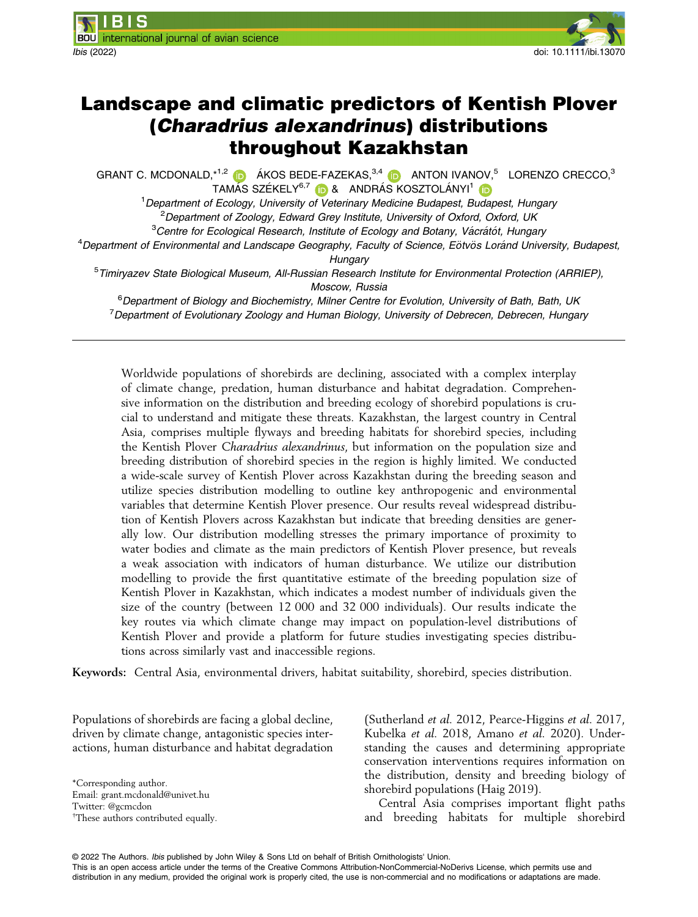

# Landscape and climatic predictors of Kentish Plover (Charadrius alexandrinus) distributions throughout Kazakhstan

GRANT C. MCDONALD,  $*^{1,2}$  (D)  $\acute{a}$ KOS BEDE-FAZEKAS,  $3,4$  (D) ANTON IVANOV,  $5$  LORENZO CRECCO,  $3$ TAMÁS SZÉKELY<sup>6,7</sup> (D & ANDRÁS KOSZTOLÁNYI<sup>[1](https://orcid.org/0000-0002-9109-5871)</sup> (D

<sup>1</sup> Department of Ecology, University of Veterinary Medicine Budapest, Budapest, Hungary <sup>2</sup>Department of Zoology, Edward Grey Institute, University of Oxford, Oxford, UK

 ${}^{3}$ Centre for Ecological Research, Institute of Ecology and Botany, Vácrátót, Hungary

<sup>4</sup>Department of Environmental and Landscape Geography, Faculty of Science, Eötvös Loránd University, Budapest,

**Hungary** 

<sup>5</sup>Timiryazev State Biological Museum, All-Russian Research Institute for Environmental Protection (ARRIEP), Moscow, Russia

<sup>6</sup>Department of Biology and Biochemistry, Milner Centre for Evolution, University of Bath, Bath, UK <sup>7</sup> Department of Evolutionary Zoology and Human Biology, University of Debrecen, Debrecen, Hungary

Worldwide populations of shorebirds are declining, associated with a complex interplay of climate change, predation, human disturbance and habitat degradation. Comprehensive information on the distribution and breeding ecology of shorebird populations is crucial to understand and mitigate these threats. Kazakhstan, the largest country in Central Asia, comprises multiple flyways and breeding habitats for shorebird species, including the Kentish Plover Charadrius alexandrinus, but information on the population size and breeding distribution of shorebird species in the region is highly limited. We conducted a wide-scale survey of Kentish Plover across Kazakhstan during the breeding season and utilize species distribution modelling to outline key anthropogenic and environmental variables that determine Kentish Plover presence. Our results reveal widespread distribution of Kentish Plovers across Kazakhstan but indicate that breeding densities are generally low. Our distribution modelling stresses the primary importance of proximity to water bodies and climate as the main predictors of Kentish Plover presence, but reveals a weak association with indicators of human disturbance. We utilize our distribution modelling to provide the first quantitative estimate of the breeding population size of Kentish Plover in Kazakhstan, which indicates a modest number of individuals given the size of the country (between 12 000 and 32 000 individuals). Our results indicate the key routes via which climate change may impact on population-level distributions of Kentish Plover and provide a platform for future studies investigating species distributions across similarly vast and inaccessible regions.

Keywords: Central Asia, environmental drivers, habitat suitability, shorebird, species distribution.

Populations of shorebirds are facing a global decline, driven by climate change, antagonistic species interactions, human disturbance and habitat degradation

\*Corresponding author. Email: [grant.mcdonald@univet.hu](mailto:) Twitter: @gcmcdon † These authors contributed equally. (Sutherland et al. 2012, Pearce-Higgins et al. 2017, Kubelka et al. 2018, Amano et al. 2020). Understanding the causes and determining appropriate conservation interventions requires information on the distribution, density and breeding biology of shorebird populations (Haig 2019).

Central Asia comprises important flight paths and breeding habitats for multiple shorebird

© 2022 The Authors. Ibis published by John Wiley & Sons Ltd on behalf of British Ornithologists' Union.

This is an open access article under the terms of the [Creative Commons Attribution-NonCommercial-NoDerivs](http://creativecommons.org/licenses/by-nc-nd/4.0/) License, which permits use and distribution in any medium, provided the original work is properly cited, the use is non-commercial and no modifications or adaptations are made.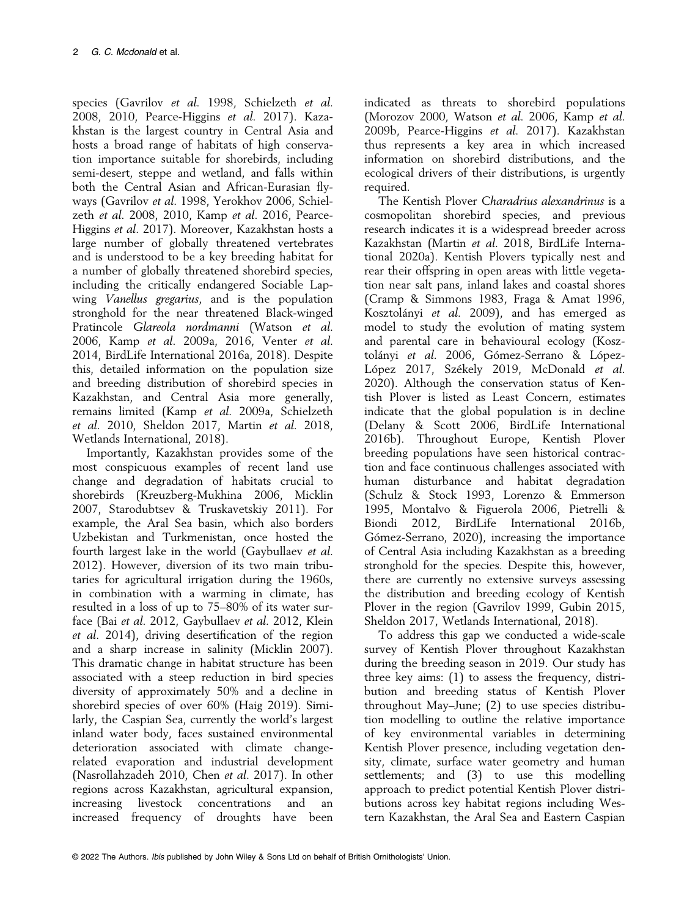species (Gavrilov et al. 1998, Schielzeth et al. 2008, 2010, Pearce-Higgins et al. 2017). Kazakhstan is the largest country in Central Asia and hosts a broad range of habitats of high conservation importance suitable for shorebirds, including semi-desert, steppe and wetland, and falls within both the Central Asian and African-Eurasian flyways (Gavrilov et al. 1998, Yerokhov 2006, Schielzeth et al. 2008, 2010, Kamp et al. 2016, Pearce-Higgins et al. 2017). Moreover, Kazakhstan hosts a large number of globally threatened vertebrates and is understood to be a key breeding habitat for a number of globally threatened shorebird species, including the critically endangered Sociable Lapwing Vanellus gregarius, and is the population stronghold for the near threatened Black-winged Pratincole Glareola nordmanni (Watson et al. 2006, Kamp et al. 2009a, 2016, Venter et al. 2014, BirdLife International 2016a, 2018). Despite this, detailed information on the population size and breeding distribution of shorebird species in Kazakhstan, and Central Asia more generally, remains limited (Kamp et al. 2009a, Schielzeth et al. 2010, Sheldon 2017, Martin et al. 2018, Wetlands International, 2018).

Importantly, Kazakhstan provides some of the most conspicuous examples of recent land use change and degradation of habitats crucial to shorebirds (Kreuzberg-Mukhina 2006, Micklin 2007, Starodubtsev & Truskavetskiy 2011). For example, the Aral Sea basin, which also borders Uzbekistan and Turkmenistan, once hosted the fourth largest lake in the world (Gaybullaev et al. 2012). However, diversion of its two main tributaries for agricultural irrigation during the 1960s, in combination with a warming in climate, has resulted in a loss of up to 75–80% of its water surface (Bai et al. 2012, Gaybullaev et al. 2012, Klein et al. 2014), driving desertification of the region and a sharp increase in salinity (Micklin 2007). This dramatic change in habitat structure has been associated with a steep reduction in bird species diversity of approximately 50% and a decline in shorebird species of over 60% (Haig 2019). Similarly, the Caspian Sea, currently the world's largest inland water body, faces sustained environmental deterioration associated with climate changerelated evaporation and industrial development (Nasrollahzadeh 2010, Chen et al. 2017). In other regions across Kazakhstan, agricultural expansion, increasing livestock concentrations and an increased frequency of droughts have been

indicated as threats to shorebird populations (Morozov 2000, Watson et al. 2006, Kamp et al. 2009b, Pearce-Higgins et al. 2017). Kazakhstan thus represents a key area in which increased information on shorebird distributions, and the ecological drivers of their distributions, is urgently required.

The Kentish Plover Charadrius alexandrinus is a cosmopolitan shorebird species, and previous research indicates it is a widespread breeder across Kazakhstan (Martin et al. 2018, BirdLife International 2020a). Kentish Plovers typically nest and rear their offspring in open areas with little vegetation near salt pans, inland lakes and coastal shores (Cramp & Simmons 1983, Fraga & Amat 1996, Kosztolányi et al. 2009), and has emerged as model to study the evolution of mating system and parental care in behavioural ecology (Kosztolányi et al. 2006, Gómez-Serrano & López-López 2017, Székely 2019, McDonald et al. 2020). Although the conservation status of Kentish Plover is listed as Least Concern, estimates indicate that the global population is in decline (Delany & Scott 2006, BirdLife International 2016b). Throughout Europe, Kentish Plover breeding populations have seen historical contraction and face continuous challenges associated with human disturbance and habitat degradation (Schulz & Stock 1993, Lorenzo & Emmerson 1995, Montalvo & Figuerola 2006, Pietrelli & Biondi 2012, BirdLife International 2016b, Gómez-Serrano, 2020), increasing the importance of Central Asia including Kazakhstan as a breeding stronghold for the species. Despite this, however, there are currently no extensive surveys assessing the distribution and breeding ecology of Kentish Plover in the region (Gavrilov 1999, Gubin 2015, Sheldon 2017, Wetlands International, 2018).

To address this gap we conducted a wide-scale survey of Kentish Plover throughout Kazakhstan during the breeding season in 2019. Our study has three key aims: (1) to assess the frequency, distribution and breeding status of Kentish Plover throughout May–June; (2) to use species distribution modelling to outline the relative importance of key environmental variables in determining Kentish Plover presence, including vegetation density, climate, surface water geometry and human settlements; and (3) to use this modelling approach to predict potential Kentish Plover distributions across key habitat regions including Western Kazakhstan, the Aral Sea and Eastern Caspian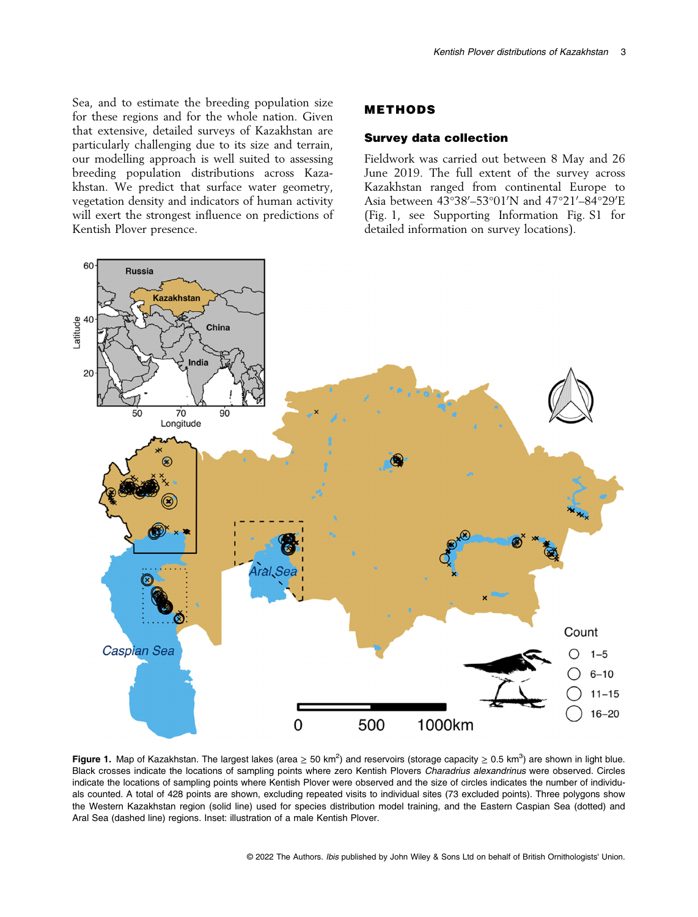Sea, and to estimate the breeding population size for these regions and for the whole nation. Given that extensive, detailed surveys of Kazakhstan are particularly challenging due to its size and terrain, our modelling approach is well suited to assessing breeding population distributions across Kazakhstan. We predict that surface water geometry, vegetation density and indicators of human activity will exert the strongest influence on predictions of Kentish Plover presence.

#### METHODS

#### Survey data collection

Fieldwork was carried out between 8 May and 26 June 2019. The full extent of the survey across Kazakhstan ranged from continental Europe to Asia between 43°38′–53°01′N and 47°21′–84°29′E (Fig. 1, see Supporting Information Fig. S1 for detailed information on survey locations).



Figure 1. Map of Kazakhstan. The largest lakes (area  $\geq 50$  km<sup>2</sup>) and reservoirs (storage capacity  $\geq 0.5$  km<sup>3</sup>) are shown in light blue. Black crosses indicate the locations of sampling points where zero Kentish Plovers Charadrius alexandrinus were observed. Circles indicate the locations of sampling points where Kentish Plover were observed and the size of circles indicates the number of individuals counted. A total of 428 points are shown, excluding repeated visits to individual sites (73 excluded points). Three polygons show the Western Kazakhstan region (solid line) used for species distribution model training, and the Eastern Caspian Sea (dotted) and Aral Sea (dashed line) regions. Inset: illustration of a male Kentish Plover.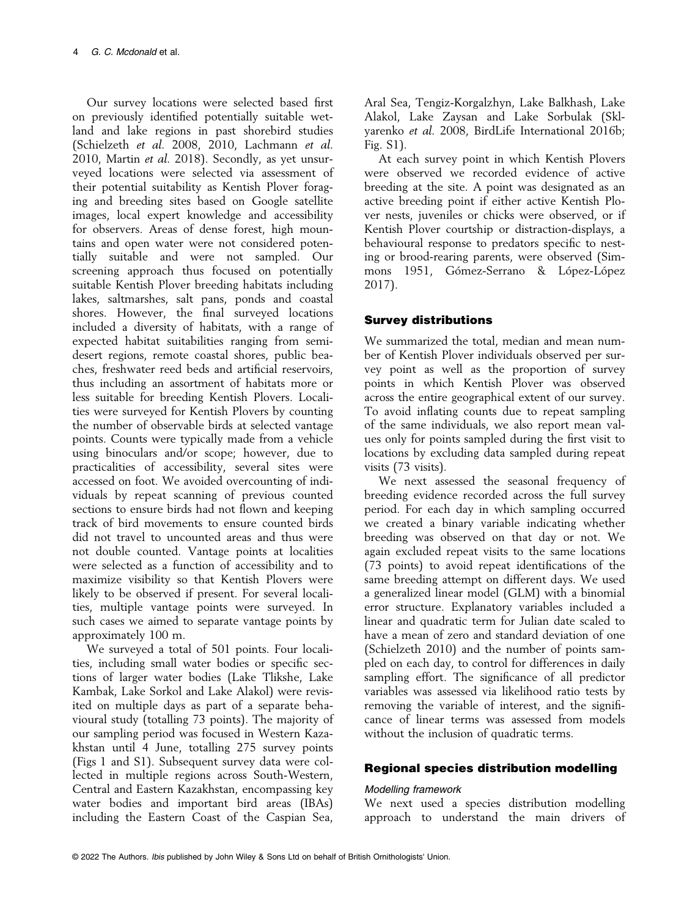Our survey locations were selected based first on previously identified potentially suitable wetland and lake regions in past shorebird studies (Schielzeth et al. 2008, 2010, Lachmann et al. 2010, Martin et al. 2018). Secondly, as yet unsurveyed locations were selected via assessment of their potential suitability as Kentish Plover foraging and breeding sites based on Google satellite images, local expert knowledge and accessibility for observers. Areas of dense forest, high mountains and open water were not considered potentially suitable and were not sampled. Our screening approach thus focused on potentially suitable Kentish Plover breeding habitats including lakes, saltmarshes, salt pans, ponds and coastal shores. However, the final surveyed locations included a diversity of habitats, with a range of expected habitat suitabilities ranging from semidesert regions, remote coastal shores, public beaches, freshwater reed beds and artificial reservoirs, thus including an assortment of habitats more or less suitable for breeding Kentish Plovers. Localities were surveyed for Kentish Plovers by counting the number of observable birds at selected vantage points. Counts were typically made from a vehicle using binoculars and/or scope; however, due to practicalities of accessibility, several sites were accessed on foot. We avoided overcounting of individuals by repeat scanning of previous counted sections to ensure birds had not flown and keeping track of bird movements to ensure counted birds did not travel to uncounted areas and thus were not double counted. Vantage points at localities were selected as a function of accessibility and to maximize visibility so that Kentish Plovers were likely to be observed if present. For several localities, multiple vantage points were surveyed. In such cases we aimed to separate vantage points by approximately 100 m.

We surveyed a total of 501 points. Four localities, including small water bodies or specific sections of larger water bodies (Lake Tlikshe, Lake Kambak, Lake Sorkol and Lake Alakol) were revisited on multiple days as part of a separate behavioural study (totalling 73 points). The majority of our sampling period was focused in Western Kazakhstan until 4 June, totalling 275 survey points (Figs 1 and S1). Subsequent survey data were collected in multiple regions across South-Western, Central and Eastern Kazakhstan, encompassing key water bodies and important bird areas (IBAs) including the Eastern Coast of the Caspian Sea,

Aral Sea, Tengiz-Korgalzhyn, Lake Balkhash, Lake Alakol, Lake Zaysan and Lake Sorbulak (Sklyarenko et al. 2008, BirdLife International 2016b; Fig. S1).

At each survey point in which Kentish Plovers were observed we recorded evidence of active breeding at the site. A point was designated as an active breeding point if either active Kentish Plover nests, juveniles or chicks were observed, or if Kentish Plover courtship or distraction-displays, a behavioural response to predators specific to nesting or brood-rearing parents, were observed (Simmons 1951, Gómez-Serrano & López-López 2017).

# Survey distributions

We summarized the total, median and mean number of Kentish Plover individuals observed per survey point as well as the proportion of survey points in which Kentish Plover was observed across the entire geographical extent of our survey. To avoid inflating counts due to repeat sampling of the same individuals, we also report mean values only for points sampled during the first visit to locations by excluding data sampled during repeat visits (73 visits).

We next assessed the seasonal frequency of breeding evidence recorded across the full survey period. For each day in which sampling occurred we created a binary variable indicating whether breeding was observed on that day or not. We again excluded repeat visits to the same locations (73 points) to avoid repeat identifications of the same breeding attempt on different days. We used a generalized linear model (GLM) with a binomial error structure. Explanatory variables included a linear and quadratic term for Julian date scaled to have a mean of zero and standard deviation of one (Schielzeth 2010) and the number of points sampled on each day, to control for differences in daily sampling effort. The significance of all predictor variables was assessed via likelihood ratio tests by removing the variable of interest, and the significance of linear terms was assessed from models without the inclusion of quadratic terms.

# Regional species distribution modelling

# Modelling framework

We next used a species distribution modelling approach to understand the main drivers of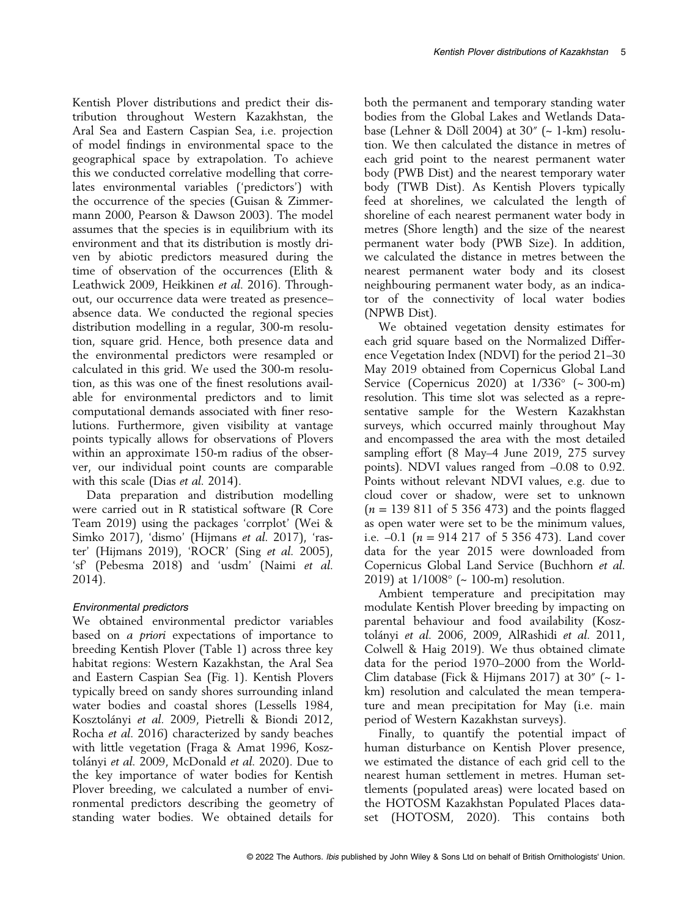Kentish Plover distributions and predict their distribution throughout Western Kazakhstan, the Aral Sea and Eastern Caspian Sea, i.e. projection of model findings in environmental space to the geographical space by extrapolation. To achieve this we conducted correlative modelling that correlates environmental variables ('predictors') with the occurrence of the species (Guisan & Zimmermann 2000, Pearson & Dawson 2003). The model assumes that the species is in equilibrium with its environment and that its distribution is mostly driven by abiotic predictors measured during the time of observation of the occurrences (Elith & Leathwick 2009, Heikkinen et al. 2016). Throughout, our occurrence data were treated as presence– absence data. We conducted the regional species distribution modelling in a regular, 300-m resolution, square grid. Hence, both presence data and the environmental predictors were resampled or calculated in this grid. We used the 300-m resolution, as this was one of the finest resolutions available for environmental predictors and to limit computational demands associated with finer resolutions. Furthermore, given visibility at vantage points typically allows for observations of Plovers within an approximate 150-m radius of the observer, our individual point counts are comparable with this scale (Dias et al. 2014).

Data preparation and distribution modelling were carried out in R statistical software (R Core Team 2019) using the packages 'corrplot' (Wei & Simko 2017), 'dismo' (Hijmans et al. 2017), 'raster' (Hijmans 2019), 'ROCR' (Sing et al. 2005), 'sf' (Pebesma 2018) and 'usdm' (Naimi et al. 2014).

# Environmental predictors

We obtained environmental predictor variables based on a priori expectations of importance to breeding Kentish Plover (Table 1) across three key habitat regions: Western Kazakhstan, the Aral Sea and Eastern Caspian Sea (Fig. 1). Kentish Plovers typically breed on sandy shores surrounding inland water bodies and coastal shores (Lessells 1984, Kosztolányi et al. 2009, Pietrelli & Biondi 2012, Rocha et al. 2016) characterized by sandy beaches with little vegetation (Fraga & Amat 1996, Kosztolányi et al. 2009, McDonald et al. 2020). Due to the key importance of water bodies for Kentish Plover breeding, we calculated a number of environmental predictors describing the geometry of standing water bodies. We obtained details for

both the permanent and temporary standing water bodies from the Global Lakes and Wetlands Database (Lehner & Döll 2004) at  $30''$  ( $\sim$  1-km) resolution. We then calculated the distance in metres of each grid point to the nearest permanent water body (PWB Dist) and the nearest temporary water body (TWB Dist). As Kentish Plovers typically feed at shorelines, we calculated the length of shoreline of each nearest permanent water body in metres (Shore length) and the size of the nearest permanent water body (PWB Size). In addition, we calculated the distance in metres between the nearest permanent water body and its closest neighbouring permanent water body, as an indicator of the connectivity of local water bodies (NPWB Dist).

We obtained vegetation density estimates for each grid square based on the Normalized Difference Vegetation Index (NDVI) for the period 21–30 May 2019 obtained from Copernicus Global Land Service (Copernicus 2020) at 1/336° (~ 300-m) resolution. This time slot was selected as a representative sample for the Western Kazakhstan surveys, which occurred mainly throughout May and encompassed the area with the most detailed sampling effort (8 May–4 June 2019, 275 survey points). NDVI values ranged from –0.08 to 0.92. Points without relevant NDVI values, e.g. due to cloud cover or shadow, were set to unknown  $(n = 139 811$  of 5 356 473) and the points flagged as open water were set to be the minimum values, i.e.  $-0.1$  ( $n = 914217$  of 5 356 473). Land cover data for the year 2015 were downloaded from Copernicus Global Land Service (Buchhorn et al. 2019) at 1/1008° (~ 100-m) resolution.

Ambient temperature and precipitation may modulate Kentish Plover breeding by impacting on parental behaviour and food availability (Kosztolányi et al. 2006, 2009, AlRashidi et al. 2011, Colwell & Haig 2019). We thus obtained climate data for the period 1970–2000 from the World-Clim database (Fick & Hijmans 2017) at 30″ (~ 1 km) resolution and calculated the mean temperature and mean precipitation for May (i.e. main period of Western Kazakhstan surveys).

Finally, to quantify the potential impact of human disturbance on Kentish Plover presence, we estimated the distance of each grid cell to the nearest human settlement in metres. Human settlements (populated areas) were located based on the HOTOSM Kazakhstan Populated Places dataset (HOTOSM, 2020). This contains both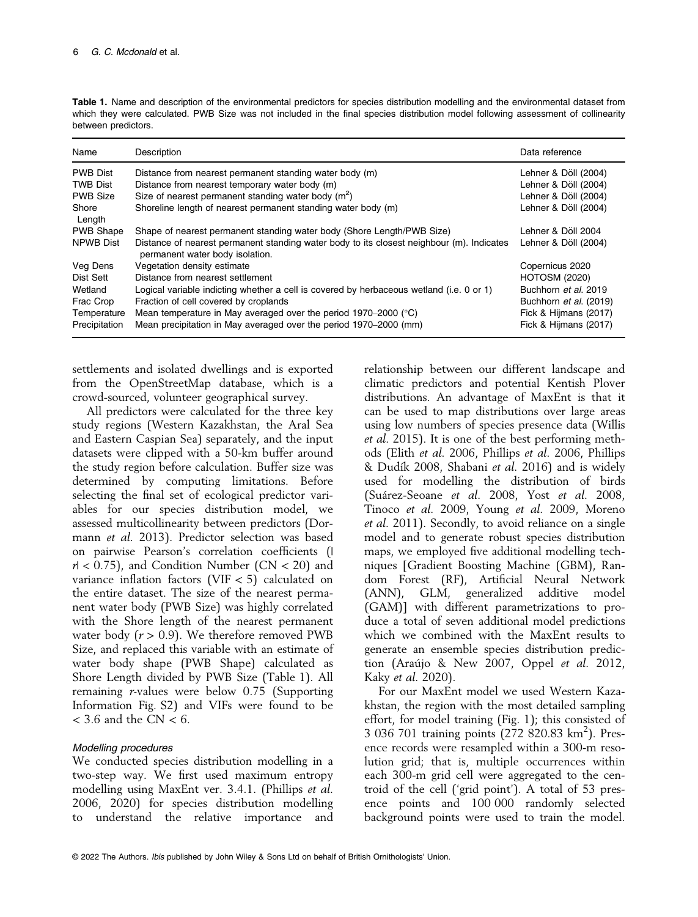| Name             | Description                                                                                                                  | Data reference         |
|------------------|------------------------------------------------------------------------------------------------------------------------------|------------------------|
| <b>PWB Dist</b>  | Distance from nearest permanent standing water body (m)                                                                      | Lehner & Döll (2004)   |
| <b>TWB Dist</b>  | Distance from nearest temporary water body (m)                                                                               | Lehner & Döll (2004)   |
| <b>PWB Size</b>  | Size of nearest permanent standing water body $(m2)$                                                                         | Lehner & Döll (2004)   |
| Shore<br>Length  | Shoreline length of nearest permanent standing water body (m)                                                                | Lehner & Döll (2004)   |
| <b>PWB Shape</b> | Shape of nearest permanent standing water body (Shore Length/PWB Size)                                                       | Lehner & Döll 2004     |
| <b>NPWB Dist</b> | Distance of nearest permanent standing water body to its closest neighbour (m). Indicates<br>permanent water body isolation. | Lehner & Döll (2004)   |
| Veg Dens         | Vegetation density estimate                                                                                                  | Copernicus 2020        |
| Dist Sett        | Distance from nearest settlement                                                                                             | <b>HOTOSM (2020)</b>   |
| Wetland          | Logical variable indicting whether a cell is covered by herbaceous wetland (i.e. 0 or 1)                                     | Buchhorn et al. 2019   |
| Frac Crop        | Fraction of cell covered by croplands                                                                                        | Buchhorn et al. (2019) |
| Temperature      | Mean temperature in May averaged over the period 1970–2000 ( $\degree$ C)                                                    | Fick & Hijmans (2017)  |
| Precipitation    | Mean precipitation in May averaged over the period 1970–2000 (mm)                                                            | Fick & Hijmans (2017)  |

Table 1. Name and description of the environmental predictors for species distribution modelling and the environmental dataset from which they were calculated. PWB Size was not included in the final species distribution model following assessment of collinearity between predictors.

settlements and isolated dwellings and is exported from the OpenStreetMap database, which is a crowd-sourced, volunteer geographical survey.

All predictors were calculated for the three key study regions (Western Kazakhstan, the Aral Sea and Eastern Caspian Sea) separately, and the input datasets were clipped with a 50-km buffer around the study region before calculation. Buffer size was determined by computing limitations. Before selecting the final set of ecological predictor variables for our species distribution model, we assessed multicollinearity between predictors (Dormann et al. 2013). Predictor selection was based on pairwise Pearson's correlation coefficients (|  $r/$  < 0.75), and Condition Number (CN < 20) and variance inflation factors (VIF < 5) calculated on the entire dataset. The size of the nearest permanent water body (PWB Size) was highly correlated with the Shore length of the nearest permanent water body  $(r > 0.9)$ . We therefore removed PWB Size, and replaced this variable with an estimate of water body shape (PWB Shape) calculated as Shore Length divided by PWB Size (Table 1). All remaining r-values were below 0.75 (Supporting Information Fig. S2) and VIFs were found to be  $<$  3.6 and the CN  $<$  6.

# Modelling procedures

We conducted species distribution modelling in a two-step way. We first used maximum entropy modelling using MaxEnt ver. 3.4.1. (Phillips et al. 2006, 2020) for species distribution modelling to understand the relative importance and

relationship between our different landscape and climatic predictors and potential Kentish Plover distributions. An advantage of MaxEnt is that it can be used to map distributions over large areas using low numbers of species presence data (Willis et al. 2015). It is one of the best performing methods (Elith et al. 2006, Phillips et al. 2006, Phillips & Dud´ık 2008, Shabani et al. 2016) and is widely used for modelling the distribution of birds (Suárez-Seoane et al. 2008, Yost et al. 2008, Tinoco et al. 2009, Young et al. 2009, Moreno et al. 2011). Secondly, to avoid reliance on a single model and to generate robust species distribution maps, we employed five additional modelling techniques [Gradient Boosting Machine (GBM), Random Forest (RF), Artificial Neural Network (ANN), GLM, generalized additive model (GAM)] with different parametrizations to produce a total of seven additional model predictions which we combined with the MaxEnt results to generate an ensemble species distribution prediction (Araújo & New 2007, Oppel et al. 2012, Kaky et al. 2020).

For our MaxEnt model we used Western Kazakhstan, the region with the most detailed sampling effort, for model training (Fig. 1); this consisted of 3 036 701 training points (272 820.83 km<sup>2</sup>). Presence records were resampled within a 300-m resolution grid; that is, multiple occurrences within each 300-m grid cell were aggregated to the centroid of the cell ('grid point'). A total of 53 presence points and 100 000 randomly selected background points were used to train the model.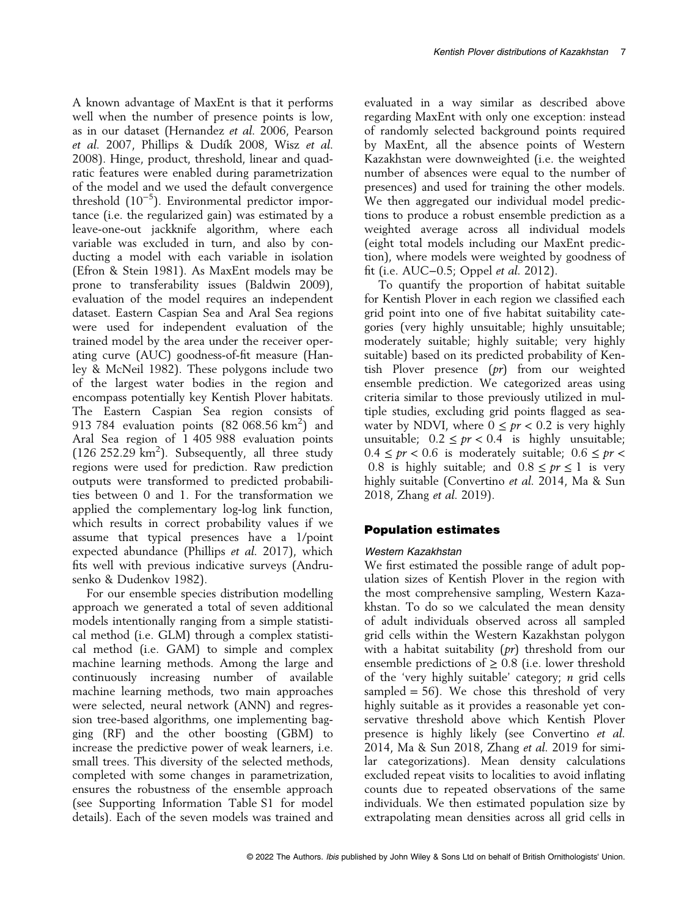A known advantage of MaxEnt is that it performs well when the number of presence points is low, as in our dataset (Hernandez et al. 2006, Pearson et al. 2007, Phillips & Dudík 2008, Wisz et al. 2008). Hinge, product, threshold, linear and quadratic features were enabled during parametrization of the model and we used the default convergence threshold (10<sup>-5</sup>). Environmental predictor importance (i.e. the regularized gain) was estimated by a leave-one-out jackknife algorithm, where each variable was excluded in turn, and also by conducting a model with each variable in isolation (Efron & Stein 1981). As MaxEnt models may be prone to transferability issues (Baldwin 2009), evaluation of the model requires an independent dataset. Eastern Caspian Sea and Aral Sea regions were used for independent evaluation of the trained model by the area under the receiver operating curve (AUC) goodness-of-fit measure (Hanley & McNeil 1982). These polygons include two of the largest water bodies in the region and encompass potentially key Kentish Plover habitats. The Eastern Caspian Sea region consists of 913 784 evaluation points  $(82\ 068.56\ km^2)$  and Aral Sea region of 1 405 988 evaluation points (126 252.29 km<sup>2</sup>). Subsequently, all three study regions were used for prediction. Raw prediction outputs were transformed to predicted probabilities between 0 and 1. For the transformation we applied the complementary log-log link function, which results in correct probability values if we assume that typical presences have a 1/point expected abundance (Phillips et al. 2017), which fits well with previous indicative surveys (Andrusenko & Dudenkov 1982).

For our ensemble species distribution modelling approach we generated a total of seven additional models intentionally ranging from a simple statistical method (i.e. GLM) through a complex statistical method (i.e. GAM) to simple and complex machine learning methods. Among the large and continuously increasing number of available machine learning methods, two main approaches were selected, neural network (ANN) and regression tree-based algorithms, one implementing bagging (RF) and the other boosting (GBM) to increase the predictive power of weak learners, i.e. small trees. This diversity of the selected methods, completed with some changes in parametrization, ensures the robustness of the ensemble approach (see Supporting Information Table S1 for model details). Each of the seven models was trained and

evaluated in a way similar as described above regarding MaxEnt with only one exception: instead of randomly selected background points required by MaxEnt, all the absence points of Western Kazakhstan were downweighted (i.e. the weighted number of absences were equal to the number of presences) and used for training the other models. We then aggregated our individual model predictions to produce a robust ensemble prediction as a weighted average across all individual models (eight total models including our MaxEnt prediction), where models were weighted by goodness of fit (i.e. AUC−0.5; Oppel et al. 2012).

To quantify the proportion of habitat suitable for Kentish Plover in each region we classified each grid point into one of five habitat suitability categories (very highly unsuitable; highly unsuitable; moderately suitable; highly suitable; very highly suitable) based on its predicted probability of Kentish Plover presence  $(pr)$  from our weighted ensemble prediction. We categorized areas using criteria similar to those previously utilized in multiple studies, excluding grid points flagged as seawater by NDVI, where  $0 \leq pr < 0.2$  is very highly unsuitable;  $0.2 \leq pr < 0.4$  is highly unsuitable;  $0.4 \leq pr < 0.6$  is moderately suitable;  $0.6 \leq pr <$ 0.8 is highly suitable; and  $0.8 \leq pr \leq 1$  is very highly suitable (Convertino et al. 2014, Ma & Sun 2018, Zhang et al. 2019).

#### Population estimates

#### Western Kazakhstan

We first estimated the possible range of adult population sizes of Kentish Plover in the region with the most comprehensive sampling, Western Kazakhstan. To do so we calculated the mean density of adult individuals observed across all sampled grid cells within the Western Kazakhstan polygon with a habitat suitability  $(pr)$  threshold from our ensemble predictions of  $\geq$  0.8 (i.e. lower threshold of the 'very highly suitable' category; *n* grid cells sampled  $= 56$ ). We chose this threshold of very highly suitable as it provides a reasonable yet conservative threshold above which Kentish Plover presence is highly likely (see Convertino et al. 2014, Ma & Sun 2018, Zhang et al. 2019 for similar categorizations). Mean density calculations excluded repeat visits to localities to avoid inflating counts due to repeated observations of the same individuals. We then estimated population size by extrapolating mean densities across all grid cells in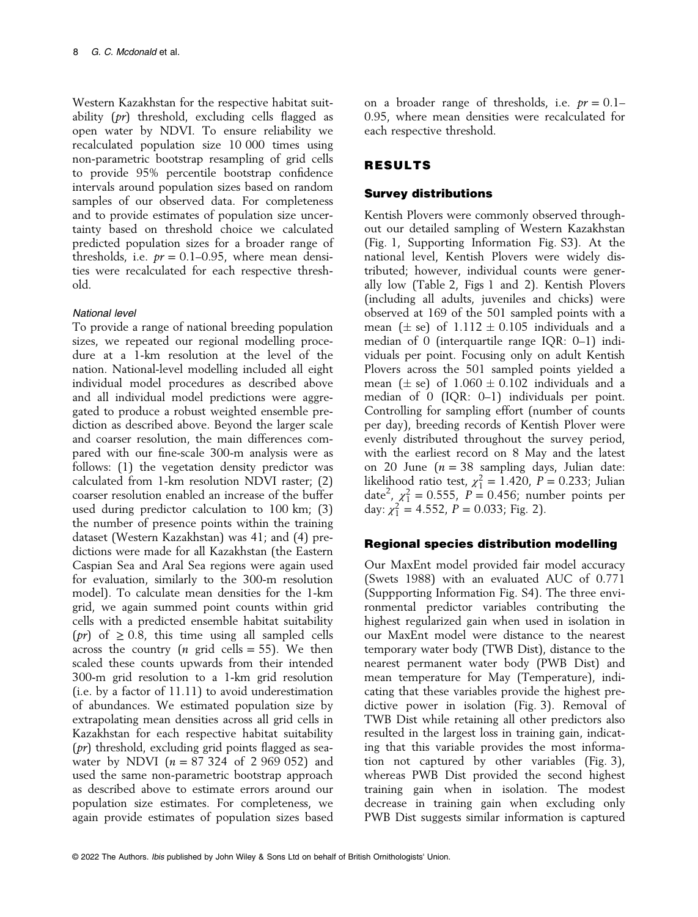Western Kazakhstan for the respective habitat suitability (pr) threshold, excluding cells flagged as open water by NDVI. To ensure reliability we recalculated population size 10 000 times using non-parametric bootstrap resampling of grid cells to provide 95% percentile bootstrap confidence intervals around population sizes based on random samples of our observed data. For completeness and to provide estimates of population size uncertainty based on threshold choice we calculated predicted population sizes for a broader range of thresholds, i.e.  $pr = 0.1{\text -}0.95$ , where mean densities were recalculated for each respective threshold.

# National level

To provide a range of national breeding population sizes, we repeated our regional modelling procedure at a 1-km resolution at the level of the nation. National-level modelling included all eight individual model procedures as described above and all individual model predictions were aggregated to produce a robust weighted ensemble prediction as described above. Beyond the larger scale and coarser resolution, the main differences compared with our fine-scale 300-m analysis were as follows: (1) the vegetation density predictor was calculated from 1-km resolution NDVI raster; (2) coarser resolution enabled an increase of the buffer used during predictor calculation to 100 km; (3) the number of presence points within the training dataset (Western Kazakhstan) was 41; and (4) predictions were made for all Kazakhstan (the Eastern Caspian Sea and Aral Sea regions were again used for evaluation, similarly to the 300-m resolution model). To calculate mean densities for the 1-km grid, we again summed point counts within grid cells with a predicted ensemble habitat suitability (*pr*) of  $\geq$  0.8, this time using all sampled cells across the country (*n* grid cells = 55). We then scaled these counts upwards from their intended 300-m grid resolution to a 1-km grid resolution (i.e. by a factor of 11.11) to avoid underestimation of abundances. We estimated population size by extrapolating mean densities across all grid cells in Kazakhstan for each respective habitat suitability  $(pr)$  threshold, excluding grid points flagged as seawater by NDVI ( $n = 87,324$  of 2,969,052) and used the same non-parametric bootstrap approach as described above to estimate errors around our population size estimates. For completeness, we again provide estimates of population sizes based on a broader range of thresholds, i.e.  $pr = 0.1-$ 0.95, where mean densities were recalculated for each respective threshold.

# RESULTS

# Survey distributions

Kentish Plovers were commonly observed throughout our detailed sampling of Western Kazakhstan (Fig. 1, Supporting Information Fig. S3). At the national level, Kentish Plovers were widely distributed; however, individual counts were generally low (Table 2, Figs 1 and 2). Kentish Plovers (including all adults, juveniles and chicks) were observed at 169 of the 501 sampled points with a mean  $(\pm \text{ se})$  of  $1.112 \pm 0.105$  individuals and a median of 0 (interquartile range IQR: 0–1) individuals per point. Focusing only on adult Kentish Plovers across the 501 sampled points yielded a mean  $(\pm s)$  of  $1.060 \pm 0.102$  individuals and a median of 0 (IQR: 0–1) individuals per point. Controlling for sampling effort (number of counts per day), breeding records of Kentish Plover were evenly distributed throughout the survey period, with the earliest record on 8 May and the latest on 20 June ( $n = 38$  sampling days, Julian date: likelihood ratio test,  $\chi_1^2 = 1.420$ ,  $P = 0.233$ ; Julian date<sup>2</sup>,  $\chi_1^2 = 0.555$ ,  $P = 0.456$ ; number points per day:  $\chi_1^2 = 4.552$ ,  $P = 0.033$ ; Fig. 2).

# Regional species distribution modelling

Our MaxEnt model provided fair model accuracy (Swets 1988) with an evaluated AUC of 0.771 (Suppporting Information Fig. S4). The three environmental predictor variables contributing the highest regularized gain when used in isolation in our MaxEnt model were distance to the nearest temporary water body (TWB Dist), distance to the nearest permanent water body (PWB Dist) and mean temperature for May (Temperature), indicating that these variables provide the highest predictive power in isolation (Fig. 3). Removal of TWB Dist while retaining all other predictors also resulted in the largest loss in training gain, indicating that this variable provides the most information not captured by other variables (Fig. 3), whereas PWB Dist provided the second highest training gain when in isolation. The modest decrease in training gain when excluding only PWB Dist suggests similar information is captured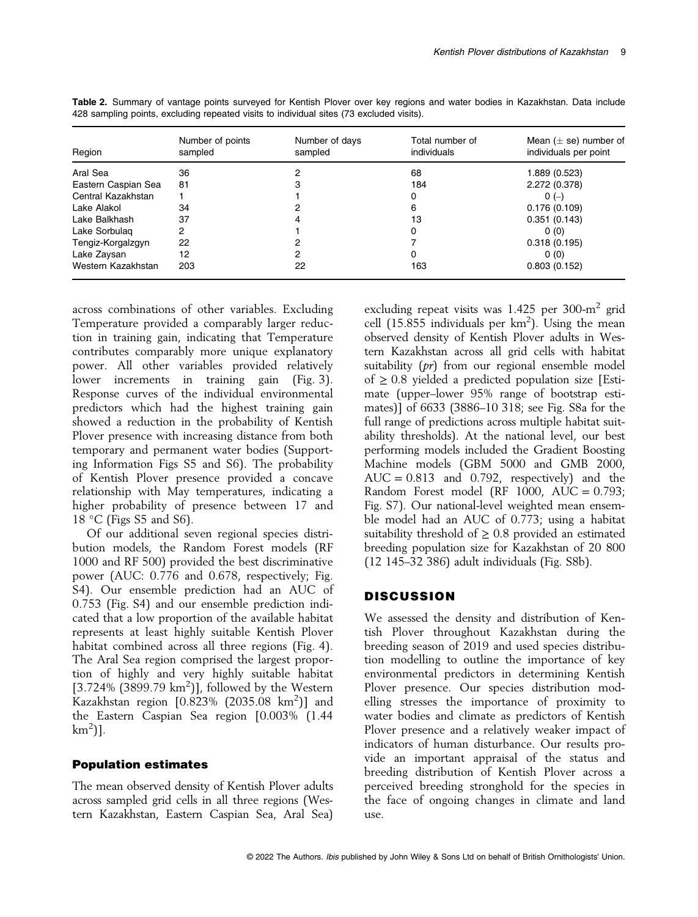| Region              | Number of points<br>sampled | Number of days<br>sampled | Total number of<br>individuals | Mean $(\pm$ se) number of<br>individuals per point |
|---------------------|-----------------------------|---------------------------|--------------------------------|----------------------------------------------------|
| Aral Sea            | 36                          |                           | 68                             | 1.889 (0.523)                                      |
| Eastern Caspian Sea | 81                          |                           | 184                            | 2.272 (0.378)                                      |
| Central Kazakhstan  |                             |                           | 0                              | $0(-)$                                             |
| Lake Alakol         | 34                          |                           | 6                              | 0.176(0.109)                                       |
| Lake Balkhash       | 37                          | 4                         | 13                             | 0.351(0.143)                                       |
| Lake Sorbulag       | 2                           |                           | 0                              | 0(0)                                               |
| Tengiz-Korgalzgyn   | 22                          |                           |                                | 0.318(0.195)                                       |
| Lake Zaysan         | 12                          | 2                         | 0                              | 0(0)                                               |
| Western Kazakhstan  | 203                         | 22                        | 163                            | 0.803(0.152)                                       |

Table 2. Summary of vantage points surveyed for Kentish Plover over key regions and water bodies in Kazakhstan. Data include 428 sampling points, excluding repeated visits to individual sites (73 excluded visits).

across combinations of other variables. Excluding Temperature provided a comparably larger reduction in training gain, indicating that Temperature contributes comparably more unique explanatory power. All other variables provided relatively lower increments in training gain (Fig. 3). Response curves of the individual environmental predictors which had the highest training gain showed a reduction in the probability of Kentish Plover presence with increasing distance from both temporary and permanent water bodies (Supporting Information Figs S5 and S6). The probability of Kentish Plover presence provided a concave relationship with May temperatures, indicating a higher probability of presence between 17 and 18 °C (Figs S5 and S6).

Of our additional seven regional species distribution models, the Random Forest models (RF 1000 and RF 500) provided the best discriminative power (AUC: 0.776 and 0.678, respectively; Fig. S4). Our ensemble prediction had an AUC of 0.753 (Fig. S4) and our ensemble prediction indicated that a low proportion of the available habitat represents at least highly suitable Kentish Plover habitat combined across all three regions (Fig. 4). The Aral Sea region comprised the largest proportion of highly and very highly suitable habitat  $[3.724\% (3899.79 km<sup>2</sup>)]$ , followed by the Western Kazakhstan region [0.823% (2035.08 km<sup>2</sup>)] and the Eastern Caspian Sea region [0.003% (1.44  $km^2$ ].

#### Population estimates

The mean observed density of Kentish Plover adults across sampled grid cells in all three regions (Western Kazakhstan, Eastern Caspian Sea, Aral Sea)

excluding repeat visits was 1.425 per 300- $m^2$  grid cell  $(15.855$  individuals per  $km^2$ ). Using the mean observed density of Kentish Plover adults in Western Kazakhstan across all grid cells with habitat suitability (pr) from our regional ensemble model of  $\geq$  0.8 yielded a predicted population size [Estimate (upper–lower 95% range of bootstrap estimates)] of 6633 (3886–10 318; see Fig. S8a for the full range of predictions across multiple habitat suitability thresholds). At the national level, our best performing models included the Gradient Boosting Machine models (GBM 5000 and GMB 2000,  $AUC = 0.813$  and 0.792, respectively) and the Random Forest model (RF 1000,  $AUC = 0.793$ ; Fig. S7). Our national-level weighted mean ensemble model had an AUC of 0.773; using a habitat suitability threshold of  $\geq$  0.8 provided an estimated breeding population size for Kazakhstan of 20 800 (12 145–32 386) adult individuals (Fig. S8b).

# **DISCUSSION**

We assessed the density and distribution of Kentish Plover throughout Kazakhstan during the breeding season of 2019 and used species distribution modelling to outline the importance of key environmental predictors in determining Kentish Plover presence. Our species distribution modelling stresses the importance of proximity to water bodies and climate as predictors of Kentish Plover presence and a relatively weaker impact of indicators of human disturbance. Our results provide an important appraisal of the status and breeding distribution of Kentish Plover across a perceived breeding stronghold for the species in the face of ongoing changes in climate and land  $11$ Se.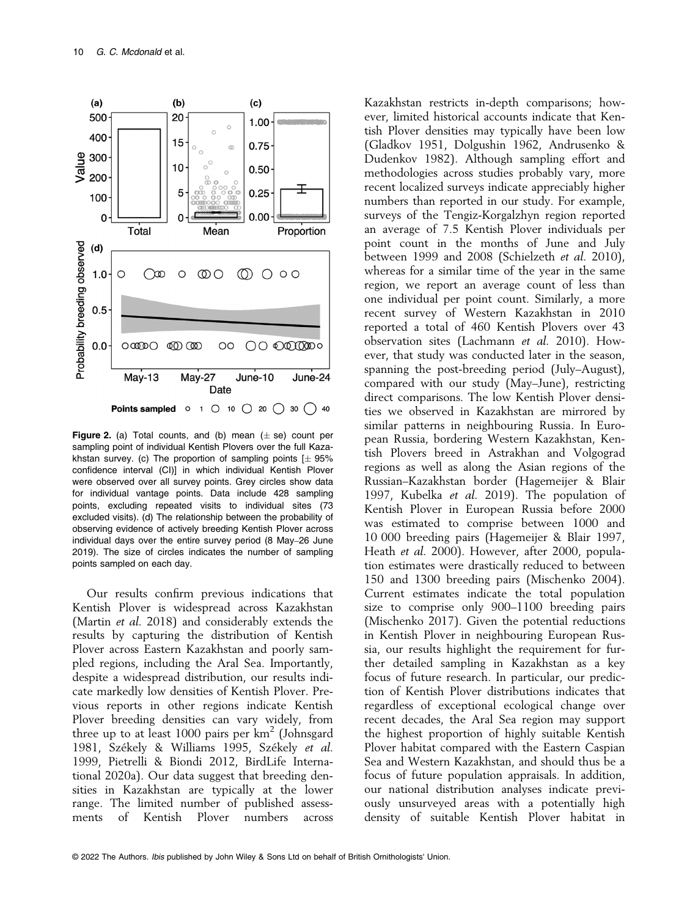

**Figure 2.** (a) Total counts, and (b) mean  $(\pm$  se) count per sampling point of individual Kentish Plovers over the full Kazakhstan survey. (c) The proportion of sampling points  $[\pm 95\%$ confidence interval (CI)] in which individual Kentish Plover were observed over all survey points. Grey circles show data for individual vantage points. Data include 428 sampling points, excluding repeated visits to individual sites (73 excluded visits). (d) The relationship between the probability of observing evidence of actively breeding Kentish Plover across individual days over the entire survey period (8 May–26 June 2019). The size of circles indicates the number of sampling points sampled on each day.

Our results confirm previous indications that Kentish Plover is widespread across Kazakhstan (Martin et al. 2018) and considerably extends the results by capturing the distribution of Kentish Plover across Eastern Kazakhstan and poorly sampled regions, including the Aral Sea. Importantly, despite a widespread distribution, our results indicate markedly low densities of Kentish Plover. Previous reports in other regions indicate Kentish Plover breeding densities can vary widely, from three up to at least 1000 pairs per  $km^2$  (Johnsgard 1981, Székely & Williams 1995, Székely et al. 1999, Pietrelli & Biondi 2012, BirdLife International 2020a). Our data suggest that breeding densities in Kazakhstan are typically at the lower range. The limited number of published assessments of Kentish Plover numbers across

Kazakhstan restricts in-depth comparisons; however, limited historical accounts indicate that Kentish Plover densities may typically have been low (Gladkov 1951, Dolgushin 1962, Andrusenko & Dudenkov 1982). Although sampling effort and methodologies across studies probably vary, more recent localized surveys indicate appreciably higher numbers than reported in our study. For example, surveys of the Tengiz-Korgalzhyn region reported an average of 7.5 Kentish Plover individuals per point count in the months of June and July between 1999 and 2008 (Schielzeth et al. 2010), whereas for a similar time of the year in the same region, we report an average count of less than one individual per point count. Similarly, a more recent survey of Western Kazakhstan in 2010 reported a total of 460 Kentish Plovers over 43 observation sites (Lachmann et al. 2010). However, that study was conducted later in the season, spanning the post-breeding period (July–August), compared with our study (May–June), restricting direct comparisons. The low Kentish Plover densities we observed in Kazakhstan are mirrored by similar patterns in neighbouring Russia. In European Russia, bordering Western Kazakhstan, Kentish Plovers breed in Astrakhan and Volgograd regions as well as along the Asian regions of the Russian–Kazakhstan border (Hagemeijer & Blair 1997, Kubelka et al. 2019). The population of Kentish Plover in European Russia before 2000 was estimated to comprise between 1000 and 10 000 breeding pairs (Hagemeijer & Blair 1997, Heath et al. 2000). However, after 2000, population estimates were drastically reduced to between 150 and 1300 breeding pairs (Mischenko 2004). Current estimates indicate the total population size to comprise only 900–1100 breeding pairs (Mischenko 2017). Given the potential reductions in Kentish Plover in neighbouring European Russia, our results highlight the requirement for further detailed sampling in Kazakhstan as a key focus of future research. In particular, our prediction of Kentish Plover distributions indicates that regardless of exceptional ecological change over recent decades, the Aral Sea region may support the highest proportion of highly suitable Kentish Plover habitat compared with the Eastern Caspian Sea and Western Kazakhstan, and should thus be a focus of future population appraisals. In addition, our national distribution analyses indicate previously unsurveyed areas with a potentially high density of suitable Kentish Plover habitat in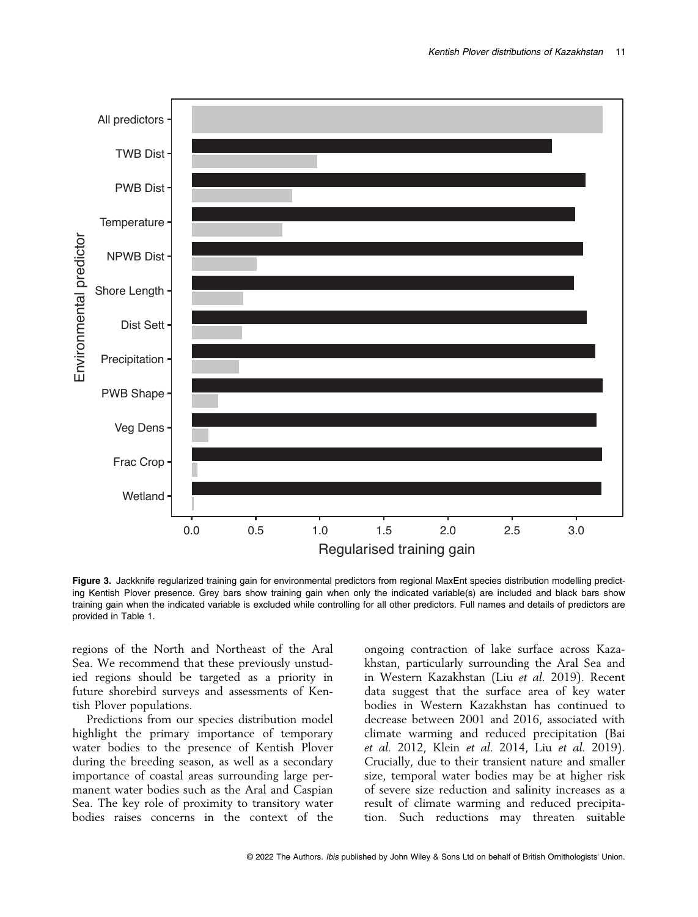

Figure 3. Jackknife regularized training gain for environmental predictors from regional MaxEnt species distribution modelling predicting Kentish Plover presence. Grey bars show training gain when only the indicated variable(s) are included and black bars show training gain when the indicated variable is excluded while controlling for all other predictors. Full names and details of predictors are provided in Table 1.

regions of the North and Northeast of the Aral Sea. We recommend that these previously unstudied regions should be targeted as a priority in future shorebird surveys and assessments of Kentish Plover populations.

Predictions from our species distribution model highlight the primary importance of temporary water bodies to the presence of Kentish Plover during the breeding season, as well as a secondary importance of coastal areas surrounding large permanent water bodies such as the Aral and Caspian Sea. The key role of proximity to transitory water bodies raises concerns in the context of the

ongoing contraction of lake surface across Kazakhstan, particularly surrounding the Aral Sea and in Western Kazakhstan (Liu et al. 2019). Recent data suggest that the surface area of key water bodies in Western Kazakhstan has continued to decrease between 2001 and 2016, associated with climate warming and reduced precipitation (Bai et al. 2012, Klein et al. 2014, Liu et al. 2019). Crucially, due to their transient nature and smaller size, temporal water bodies may be at higher risk of severe size reduction and salinity increases as a result of climate warming and reduced precipitation. Such reductions may threaten suitable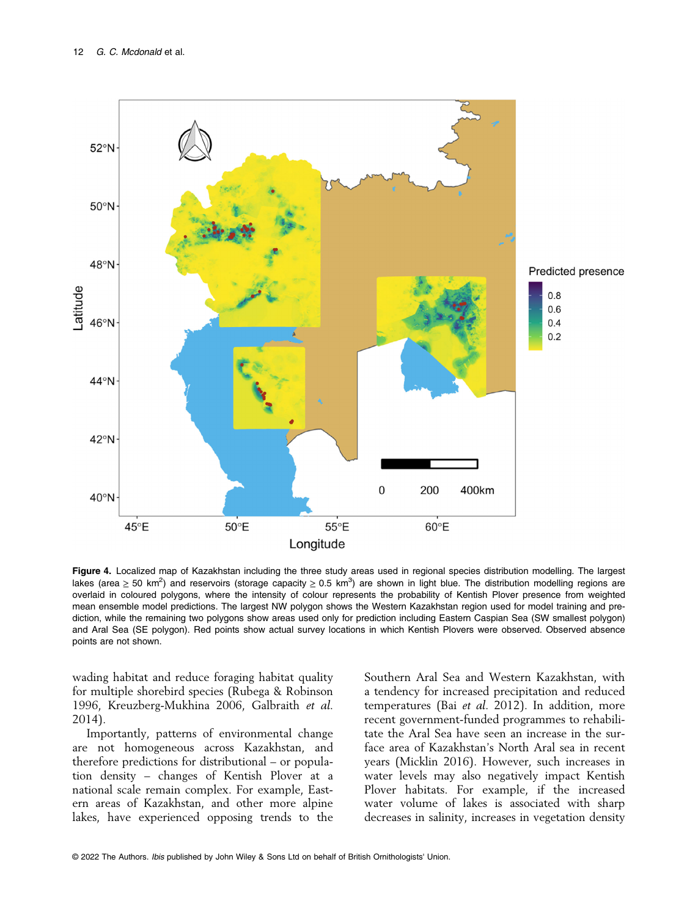

Figure 4. Localized map of Kazakhstan including the three study areas used in regional species distribution modelling. The largest lakes (area ≥ 50 km<sup>2</sup>) and reservoirs (storage capacity ≥ 0.5 km<sup>3</sup>) are shown in light blue. The distribution modelling regions are overlaid in coloured polygons, where the intensity of colour represents the probability of Kentish Plover presence from weighted mean ensemble model predictions. The largest NW polygon shows the Western Kazakhstan region used for model training and prediction, while the remaining two polygons show areas used only for prediction including Eastern Caspian Sea (SW smallest polygon) and Aral Sea (SE polygon). Red points show actual survey locations in which Kentish Plovers were observed. Observed absence points are not shown.

wading habitat and reduce foraging habitat quality for multiple shorebird species (Rubega & Robinson 1996, Kreuzberg-Mukhina 2006, Galbraith et al. 2014).

Importantly, patterns of environmental change are not homogeneous across Kazakhstan, and therefore predictions for distributional – or population density – changes of Kentish Plover at a national scale remain complex. For example, Eastern areas of Kazakhstan, and other more alpine lakes, have experienced opposing trends to the

Southern Aral Sea and Western Kazakhstan, with a tendency for increased precipitation and reduced temperatures (Bai et al. 2012). In addition, more recent government-funded programmes to rehabilitate the Aral Sea have seen an increase in the surface area of Kazakhstan's North Aral sea in recent years (Micklin 2016). However, such increases in water levels may also negatively impact Kentish Plover habitats. For example, if the increased water volume of lakes is associated with sharp decreases in salinity, increases in vegetation density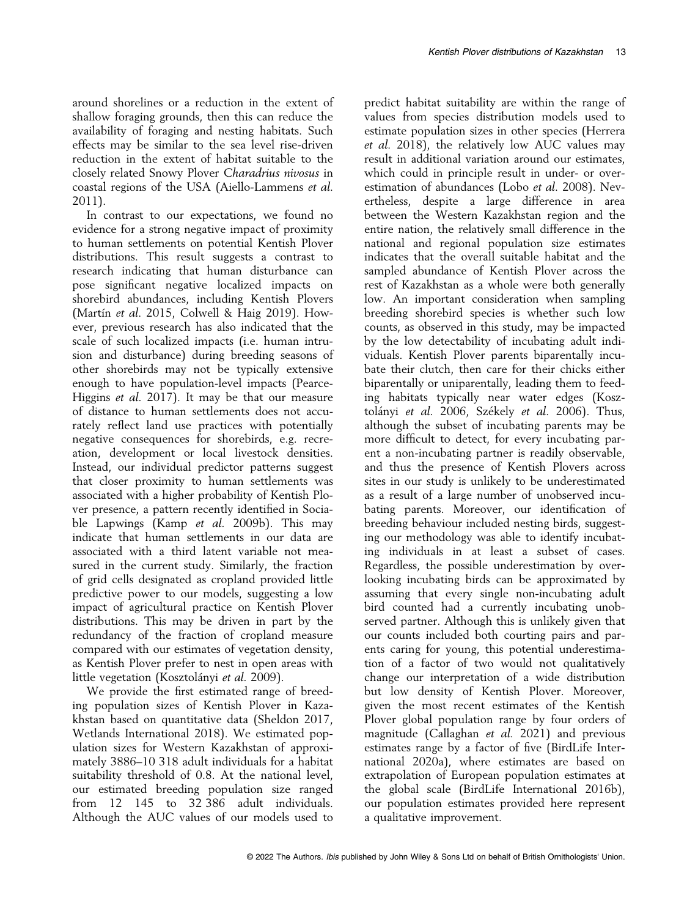around shorelines or a reduction in the extent of shallow foraging grounds, then this can reduce the availability of foraging and nesting habitats. Such effects may be similar to the sea level rise-driven reduction in the extent of habitat suitable to the closely related Snowy Plover Charadrius nivosus in coastal regions of the USA (Aiello-Lammens et al. 2011).

In contrast to our expectations, we found no evidence for a strong negative impact of proximity to human settlements on potential Kentish Plover distributions. This result suggests a contrast to research indicating that human disturbance can pose significant negative localized impacts on shorebird abundances, including Kentish Plovers (Martín et al. 2015, Colwell & Haig 2019). However, previous research has also indicated that the scale of such localized impacts (i.e. human intrusion and disturbance) during breeding seasons of other shorebirds may not be typically extensive enough to have population-level impacts (Pearce-Higgins et al. 2017). It may be that our measure of distance to human settlements does not accurately reflect land use practices with potentially negative consequences for shorebirds, e.g. recreation, development or local livestock densities. Instead, our individual predictor patterns suggest that closer proximity to human settlements was associated with a higher probability of Kentish Plover presence, a pattern recently identified in Sociable Lapwings (Kamp et al. 2009b). This may indicate that human settlements in our data are associated with a third latent variable not measured in the current study. Similarly, the fraction of grid cells designated as cropland provided little predictive power to our models, suggesting a low impact of agricultural practice on Kentish Plover distributions. This may be driven in part by the redundancy of the fraction of cropland measure compared with our estimates of vegetation density, as Kentish Plover prefer to nest in open areas with little vegetation (Kosztolányi *et al.* 2009).

We provide the first estimated range of breeding population sizes of Kentish Plover in Kazakhstan based on quantitative data (Sheldon 2017, Wetlands International 2018). We estimated population sizes for Western Kazakhstan of approximately 3886–10 318 adult individuals for a habitat suitability threshold of 0.8. At the national level, our estimated breeding population size ranged from 12 145 to 32 386 adult individuals. Although the AUC values of our models used to

predict habitat suitability are within the range of values from species distribution models used to estimate population sizes in other species (Herrera et al. 2018), the relatively low AUC values may result in additional variation around our estimates, which could in principle result in under- or overestimation of abundances (Lobo et al. 2008). Nevertheless, despite a large difference in area between the Western Kazakhstan region and the entire nation, the relatively small difference in the national and regional population size estimates indicates that the overall suitable habitat and the sampled abundance of Kentish Plover across the rest of Kazakhstan as a whole were both generally low. An important consideration when sampling breeding shorebird species is whether such low counts, as observed in this study, may be impacted by the low detectability of incubating adult individuals. Kentish Plover parents biparentally incubate their clutch, then care for their chicks either biparentally or uniparentally, leading them to feeding habitats typically near water edges (Kosztolányi et al. 2006, Székely et al. 2006). Thus, although the subset of incubating parents may be more difficult to detect, for every incubating parent a non-incubating partner is readily observable, and thus the presence of Kentish Plovers across sites in our study is unlikely to be underestimated as a result of a large number of unobserved incubating parents. Moreover, our identification of breeding behaviour included nesting birds, suggesting our methodology was able to identify incubating individuals in at least a subset of cases. Regardless, the possible underestimation by overlooking incubating birds can be approximated by assuming that every single non-incubating adult bird counted had a currently incubating unobserved partner. Although this is unlikely given that our counts included both courting pairs and parents caring for young, this potential underestimation of a factor of two would not qualitatively change our interpretation of a wide distribution but low density of Kentish Plover. Moreover, given the most recent estimates of the Kentish Plover global population range by four orders of magnitude (Callaghan et al. 2021) and previous estimates range by a factor of five (BirdLife International 2020a), where estimates are based on extrapolation of European population estimates at the global scale (BirdLife International 2016b), our population estimates provided here represent a qualitative improvement.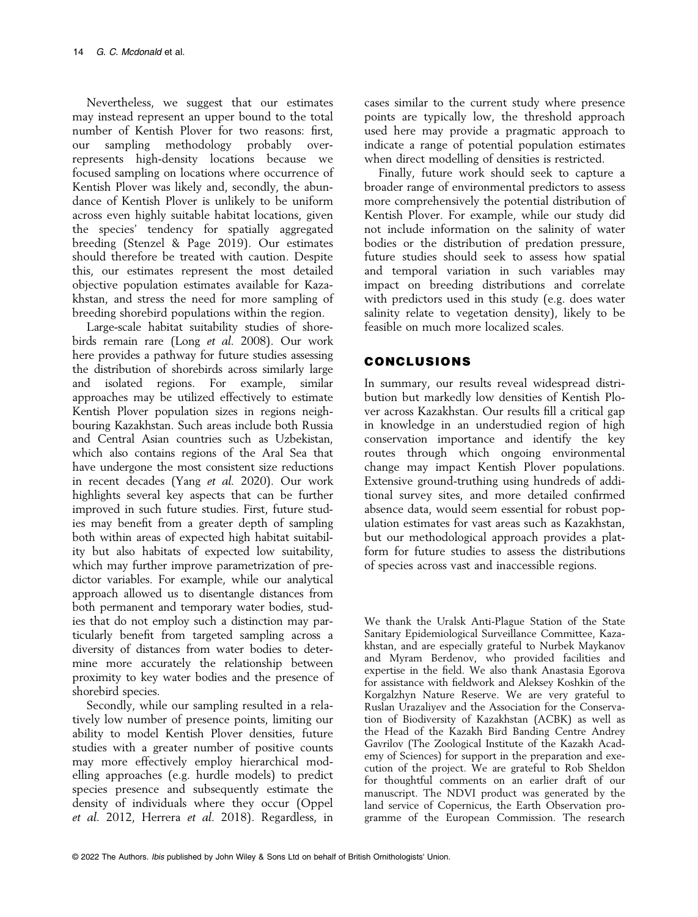Nevertheless, we suggest that our estimates may instead represent an upper bound to the total number of Kentish Plover for two reasons: first, our sampling methodology probably overrepresents high-density locations because we focused sampling on locations where occurrence of Kentish Plover was likely and, secondly, the abundance of Kentish Plover is unlikely to be uniform across even highly suitable habitat locations, given the species' tendency for spatially aggregated breeding (Stenzel & Page 2019). Our estimates should therefore be treated with caution. Despite this, our estimates represent the most detailed objective population estimates available for Kazakhstan, and stress the need for more sampling of breeding shorebird populations within the region.

Large-scale habitat suitability studies of shorebirds remain rare (Long et al. 2008). Our work here provides a pathway for future studies assessing the distribution of shorebirds across similarly large and isolated regions. For example, similar approaches may be utilized effectively to estimate Kentish Plover population sizes in regions neighbouring Kazakhstan. Such areas include both Russia and Central Asian countries such as Uzbekistan, which also contains regions of the Aral Sea that have undergone the most consistent size reductions in recent decades (Yang et al. 2020). Our work highlights several key aspects that can be further improved in such future studies. First, future studies may benefit from a greater depth of sampling both within areas of expected high habitat suitability but also habitats of expected low suitability, which may further improve parametrization of predictor variables. For example, while our analytical approach allowed us to disentangle distances from both permanent and temporary water bodies, studies that do not employ such a distinction may particularly benefit from targeted sampling across a diversity of distances from water bodies to determine more accurately the relationship between proximity to key water bodies and the presence of shorebird species.

Secondly, while our sampling resulted in a relatively low number of presence points, limiting our ability to model Kentish Plover densities, future studies with a greater number of positive counts may more effectively employ hierarchical modelling approaches (e.g. hurdle models) to predict species presence and subsequently estimate the density of individuals where they occur (Oppel et al. 2012, Herrera et al. 2018). Regardless, in cases similar to the current study where presence points are typically low, the threshold approach used here may provide a pragmatic approach to indicate a range of potential population estimates when direct modelling of densities is restricted.

Finally, future work should seek to capture a broader range of environmental predictors to assess more comprehensively the potential distribution of Kentish Plover. For example, while our study did not include information on the salinity of water bodies or the distribution of predation pressure, future studies should seek to assess how spatial and temporal variation in such variables may impact on breeding distributions and correlate with predictors used in this study (e.g. does water salinity relate to vegetation density), likely to be feasible on much more localized scales.

# CONCLUSIONS

In summary, our results reveal widespread distribution but markedly low densities of Kentish Plover across Kazakhstan. Our results fill a critical gap in knowledge in an understudied region of high conservation importance and identify the key routes through which ongoing environmental change may impact Kentish Plover populations. Extensive ground-truthing using hundreds of additional survey sites, and more detailed confirmed absence data, would seem essential for robust population estimates for vast areas such as Kazakhstan, but our methodological approach provides a platform for future studies to assess the distributions of species across vast and inaccessible regions.

We thank the Uralsk Anti-Plague Station of the State Sanitary Epidemiological Surveillance Committee, Kazakhstan, and are especially grateful to Nurbek Maykanov and Myram Berdenov, who provided facilities and expertise in the field. We also thank Anastasia Egorova for assistance with fieldwork and Aleksey Koshkin of the Korgalzhyn Nature Reserve. We are very grateful to Ruslan Urazaliyev and the Association for the Conservation of Biodiversity of Kazakhstan (ACBK) as well as the Head of the Kazakh Bird Banding Centre Andrey Gavrilov (The Zoological Institute of the Kazakh Academy of Sciences) for support in the preparation and execution of the project. We are grateful to Rob Sheldon for thoughtful comments on an earlier draft of our manuscript. The NDVI product was generated by the land service of Copernicus, the Earth Observation programme of the European Commission. The research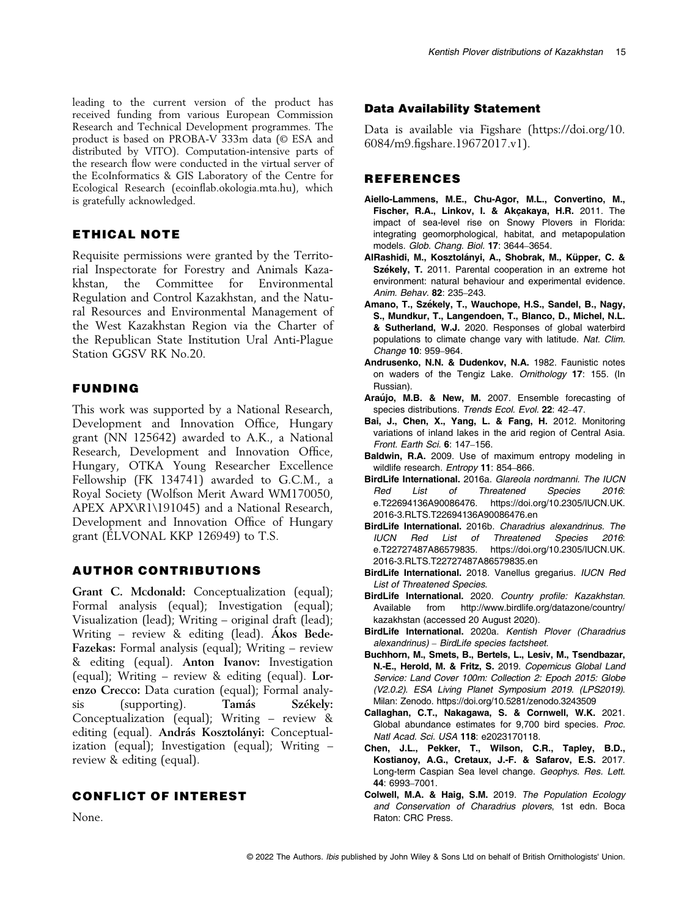leading to the current version of the product has received funding from various European Commission Research and Technical Development programmes. The product is based on PROBA-V 333m data (© ESA and distributed by VITO). Computation-intensive parts of the research flow were conducted in the virtual server of the EcoInformatics & GIS Laboratory of the Centre for Ecological Research (ecoinflab.okologia.mta.hu), which is gratefully acknowledged.

# ETHICAL NOTE

Requisite permissions were granted by the Territorial Inspectorate for Forestry and Animals Kazakhstan, the Committee for Environmental Regulation and Control Kazakhstan, and the Natural Resources and Environmental Management of the West Kazakhstan Region via the Charter of the Republican State Institution Ural Anti-Plague Station GGSV RK No.20.

# FUNDING

This work was supported by a National Research, Development and Innovation Office, Hungary grant (NN 125642) awarded to A.K., a National Research, Development and Innovation Office, Hungary, OTKA Young Researcher Excellence Fellowship (FK 134741) awarded to G.C.M., a Royal Society (Wolfson Merit Award WM170050, APEX APX\R1\191045) and a National Research, Development and Innovation Office of Hungary grant (ÉLVONAL KKP 126949) to T.S.

## AUTHOR CONTRIBUTIONS

Grant C. Mcdonald: Conceptualization (equal); Formal analysis (equal); Investigation (equal); Visualization (lead); Writing – original draft (lead); Writing – review & editing (lead). Akos Bede-Fazekas: Formal analysis (equal); Writing – review & editing (equal). Anton Ivanov: Investigation (equal); Writing – review & editing (equal). Lorenzo Crecco: Data curation (equal); Formal analysis (supporting). Tamás Székely: Conceptualization (equal); Writing – review & editing (equal). András Kosztolányi: Conceptualization (equal); Investigation (equal); Writing – review & editing (equal).

# CONFLICT OF INTEREST

None.

#### Data Availability Statement

Data is available via Figshare [\(https://doi.org/10.](https://doi.org/10.6084/m9.figshare.19672017.v1) 6084/m9.fi[gshare.19672017.v1](https://doi.org/10.6084/m9.figshare.19672017.v1)).

### REFERENCES

- Aiello-Lammens, M.E., Chu-Agor, M.L., Convertino, M., Fischer, R.A., Linkov, I. & Akçakaya, H.R. 2011. The impact of sea-level rise on Snowy Plovers in Florida: integrating geomorphological, habitat, and metapopulation models. Glob. Chang. Biol. 17: 3644–3654.
- AlRashidi, M., Kosztolányi, A., Shobrak, M., Küpper, C. & Székely, T. 2011. Parental cooperation in an extreme hot environment: natural behaviour and experimental evidence. Anim. Behav. 82: 235–243.
- Amano, T., Székely, T., Wauchope, H.S., Sandel, B., Nagy, S., Mundkur, T., Langendoen, T., Blanco, D., Michel, N.L. & Sutherland, W.J. 2020. Responses of global waterbird populations to climate change vary with latitude. Nat. Clim. Change 10: 959–964.
- Andrusenko, N.N. & Dudenkov, N.A. 1982. Faunistic notes on waders of the Tengiz Lake. Ornithology 17: 155. (In Russian).
- Araújo, M.B. & New, M. 2007. Ensemble forecasting of species distributions. Trends Ecol. Evol. 22: 42-47.
- Bai, J., Chen, X., Yang, L. & Fang, H. 2012. Monitoring variations of inland lakes in the arid region of Central Asia. Front. Earth Sci. 6: 147–156.
- Baldwin, R.A. 2009. Use of maximum entropy modeling in wildlife research. Entropy 11: 854-866.
- BirdLife International. 2016a. Glareola nordmanni. The IUCN Red List of Threatened Species 2016: e.T22694136A90086476. [https://doi.org/10.2305/IUCN.UK.](https://doi.org/10.2305/IUCN.UK.2016-3.RLTS.T22694136A90086476.en) [2016-3.RLTS.T22694136A90086476.en](https://doi.org/10.2305/IUCN.UK.2016-3.RLTS.T22694136A90086476.en)
- BirdLife International. 2016b. Charadrius alexandrinus. The IUCN Red List of Threatened Species 2016: e.T22727487A86579835. [https://doi.org/10.2305/IUCN.UK.](https://doi.org/10.2305/IUCN.UK.2016-3.RLTS.T22727487A86579835.en) [2016-3.RLTS.T22727487A86579835.en](https://doi.org/10.2305/IUCN.UK.2016-3.RLTS.T22727487A86579835.en)
- BirdLife International. 2018. Vanellus gregarius. IUCN Red List of Threatened Species.
- BirdLife International. 2020. Country profile: Kazakhstan. Available from [http://www.birdlife.org/datazone/country/](http://www.birdlife.org/datazone/country/kazakhstan) [kazakhstan](http://www.birdlife.org/datazone/country/kazakhstan) (accessed 20 August 2020).
- BirdLife International. 2020a. Kentish Plover (Charadrius alexandrinus) – BirdLife species factsheet.
- Buchhorn, M., Smets, B., Bertels, L., Lesiv, M., Tsendbazar, N.-E., Herold, M. & Fritz, S. 2019. Copernicus Global Land Service: Land Cover 100m: Collection 2: Epoch 2015: Globe (V2.0.2). ESA Living Planet Symposium 2019. (LPS2019). Milan: Zenodo.<https://doi.org/10.5281/zenodo.3243509>
- Callaghan, C.T., Nakagawa, S. & Cornwell, W.K. 2021. Global abundance estimates for 9,700 bird species. Proc. Natl Acad. Sci. USA 118: e2023170118.
- Chen, J.L., Pekker, T., Wilson, C.R., Tapley, B.D., Kostianoy, A.G., Cretaux, J.-F. & Safarov, E.S. 2017. Long-term Caspian Sea level change. Geophys. Res. Lett. 44: 6993–7001.
- Colwell, M.A. & Haig, S.M. 2019. The Population Ecology and Conservation of Charadrius plovers, 1st edn. Boca Raton: CRC Press.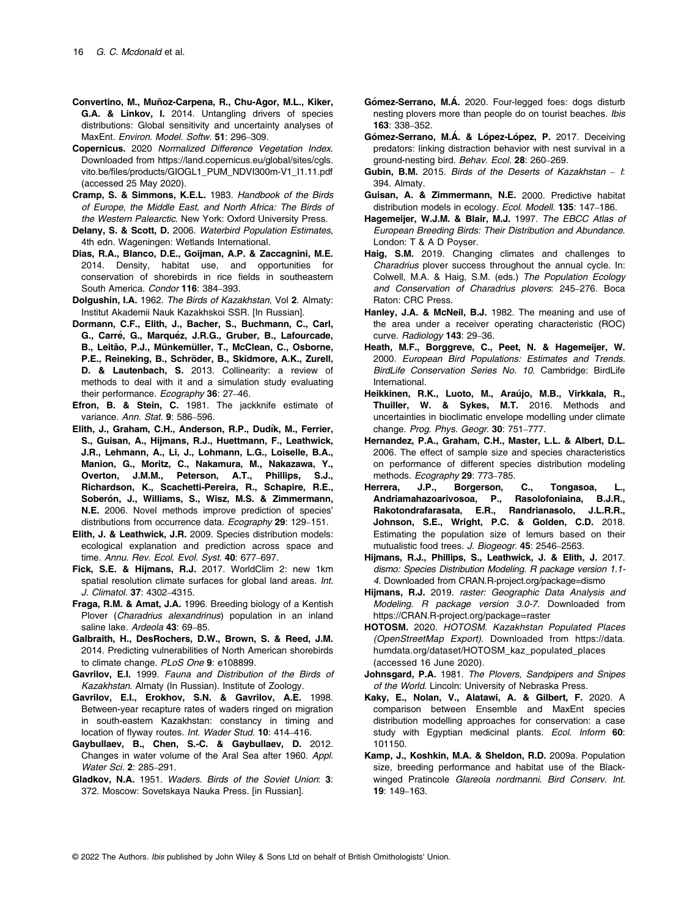- Convertino, M., Muñoz-Carpena, R., Chu-Agor, M.L., Kiker, G.A. & Linkov, I. 2014. Untangling drivers of species distributions: Global sensitivity and uncertainty analyses of MaxEnt. Environ. Model. Softw. 51: 296–309.
- Copernicus. 2020 Normalized Difference Vegetation Index. Downloaded from [https://land.copernicus.eu/global/sites/cgls.](https://land.copernicus.eu/global/sites/cgls.vito.be/files/products/GIOGL1_PUM_NDVI300m-V1_I1.11.pdf) vito.be/fi[les/products/GIOGL1\\_PUM\\_NDVI300m-V1\\_I1.11.pdf](https://land.copernicus.eu/global/sites/cgls.vito.be/files/products/GIOGL1_PUM_NDVI300m-V1_I1.11.pdf) (accessed 25 May 2020).
- Cramp, S. & Simmons, K.E.L. 1983. Handbook of the Birds of Europe, the Middle East, and North Africa: The Birds of the Western Palearctic. New York: Oxford University Press.
- Delany, S. & Scott, D. 2006. Waterbird Population Estimates, 4th edn. Wageningen: Wetlands International.
- Dias, R.A., Blanco, D.E., Goijman, A.P. & Zaccagnini, M.E. 2014. Density, habitat use, and opportunities for conservation of shorebirds in rice fields in southeastern South America. Condor 116: 384–393.
- Dolgushin, I.A. 1962. The Birds of Kazakhstan, Vol 2. Almaty: Institut Akademii Nauk Kazakhskoi SSR. [In Russian].
- Dormann, C.F., Elith, J., Bacher, S., Buchmann, C., Carl, G., Carré, G., Marquéz, J.R.G., Gruber, B., Lafourcade, B., Leitão, P.J., Münkemüller, T., McClean, C., Osborne, P.E., Reineking, B., Schröder, B., Skidmore, A.K., Zurell, D. & Lautenbach, S. 2013. Collinearity: a review of methods to deal with it and a simulation study evaluating their performance. Ecography 36: 27-46.
- Efron, B. & Stein, C. 1981. The jackknife estimate of variance. Ann. Stat. 9: 586–596.
- Elith, J., Graham, C.H., Anderson, R.P., Dudík, M., Ferrier, S., Guisan, A., Hijmans, R.J., Huettmann, F., Leathwick, J.R., Lehmann, A., Li, J., Lohmann, L.G., Loiselle, B.A., Manion, G., Moritz, C., Nakamura, M., Nakazawa, Y., Overton, J.M.M., Peterson, A.T., Phillips, S.J., Richardson, K., Scachetti-Pereira, R., Schapire, R.E., Soberón, J., Williams, S., Wisz, M.S. & Zimmermann, N.E. 2006. Novel methods improve prediction of species' distributions from occurrence data. Ecography 29: 129–151.
- Elith, J. & Leathwick, J.R. 2009. Species distribution models: ecological explanation and prediction across space and time. Annu. Rev. Ecol. Evol. Syst. 40: 677–697.
- Fick, S.E. & Hijmans, R.J. 2017. WorldClim 2: new 1km spatial resolution climate surfaces for global land areas. Int. J. Climatol. 37: 4302–4315.
- Fraga, R.M. & Amat, J.A. 1996. Breeding biology of a Kentish Plover (Charadrius alexandrinus) population in an inland saline lake. Ardeola 43: 69-85.
- Galbraith, H., DesRochers, D.W., Brown, S. & Reed, J.M. 2014. Predicting vulnerabilities of North American shorebirds to climate change. PLoS One 9: e108899.
- Gavrilov, E.I. 1999. Fauna and Distribution of the Birds of Kazakhstan. Almaty (In Russian). Institute of Zoology.
- Gavrilov, E.I., Erokhov, S.N. & Gavrilov, A.E. 1998. Between-year recapture rates of waders ringed on migration in south-eastern Kazakhstan: constancy in timing and location of flyway routes. Int. Wader Stud. 10: 414–416.
- Gaybullaev, B., Chen, S.-C. & Gaybullaev, D. 2012. Changes in water volume of the Aral Sea after 1960. Appl. Water Sci. 2: 285–291.
- Gladkov, N.A. 1951. Waders. Birds of the Soviet Union: 3: 372. Moscow: Sovetskaya Nauka Press. [in Russian].
- Gómez-Serrano, M.Á. 2020. Four-legged foes: dogs disturb nesting plovers more than people do on tourist beaches. Ibis 163: 338–352.
- Gómez-Serrano, M.Á. & López-López, P. 2017. Deceiving predators: linking distraction behavior with nest survival in a ground-nesting bird. Behav. Ecol. 28: 260–269.
- Gubin, B.M. 2015. Birds of the Deserts of Kazakhstan  $-$  I: 394. Almaty.
- Guisan, A. & Zimmermann, N.E. 2000. Predictive habitat distribution models in ecology. Ecol. Modell. 135: 147–186.
- Hagemeijer, W.J.M. & Blair, M.J. 1997. The EBCC Atlas of European Breeding Birds: Their Distribution and Abundance. London: T & A D Poyser.
- Haig, S.M. 2019. Changing climates and challenges to Charadrius plover success throughout the annual cycle. In: Colwell, M.A. & Haig, S.M. (eds.) The Population Ecology and Conservation of Charadrius plovers: 245–276. Boca Raton: CRC Press.
- Hanley, J.A. & McNeil, B.J. 1982. The meaning and use of the area under a receiver operating characteristic (ROC) curve. Radiology 143: 29-36.
- Heath, M.F., Borggreve, C., Peet, N. & Hagemeijer, W. 2000. European Bird Populations: Estimates and Trends. BirdLife Conservation Series No. 10. Cambridge: BirdLife International.
- Heikkinen, R.K., Luoto, M., Araújo, M.B., Virkkala, R., Thuiller, W. & Sykes, M.T. 2016. Methods and uncertainties in bioclimatic envelope modelling under climate change. Prog. Phys. Geogr. 30: 751-777.
- Hernandez, P.A., Graham, C.H., Master, L.L. & Albert, D.L. 2006. The effect of sample size and species characteristics on performance of different species distribution modeling methods. Ecography 29: 773-785.
- Herrera, J.P., Borgerson, C., Tongasoa, Andriamahazoarivosoa, P., Rasolofoniaina, B.J.R., Rakotondrafarasata, E.R., Randrianasolo, J.L.R.R., Johnson, S.E., Wright, P.C. & Golden, C.D. 2018. Estimating the population size of lemurs based on their mutualistic food trees. J. Biogeogr. 45: 2546–2563.
- Hijmans, R.J., Phillips, S., Leathwick, J. & Elith, J. 2017. dismo: Species Distribution Modeling. R package version 1.1- 4. Downloaded from [CRAN.R-project.org/package=dismo](http://CRAN.R-project.org/package=dismo)
- Hijmans, R.J. 2019. raster: Geographic Data Analysis and Modeling. R package version 3.0-7. Downloaded from https://CRAN.R-project.org/package=raster
- HOTOSM. 2020. HOTOSM. Kazakhstan Populated Places (OpenStreetMap Export). Downloaded from [https://data.](https://data.humdata.org/dataset/HOTOSM_kaz_populated_places) [humdata.org/dataset/HOTOSM\\_kaz\\_populated\\_places](https://data.humdata.org/dataset/HOTOSM_kaz_populated_places) (accessed 16 June 2020).
- Johnsgard, P.A. 1981. The Plovers, Sandpipers and Snipes of the World. Lincoln: University of Nebraska Press.
- Kaky, E., Nolan, V., Alatawi, A. & Gilbert, F. 2020. A comparison between Ensemble and MaxEnt species distribution modelling approaches for conservation: a case study with Egyptian medicinal plants. Ecol. Inform 60: 101150.
- Kamp, J., Koshkin, M.A. & Sheldon, R.D. 2009a. Population size, breeding performance and habitat use of the Blackwinged Pratincole Glareola nordmanni. Bird Conserv. Int. 19: 149–163.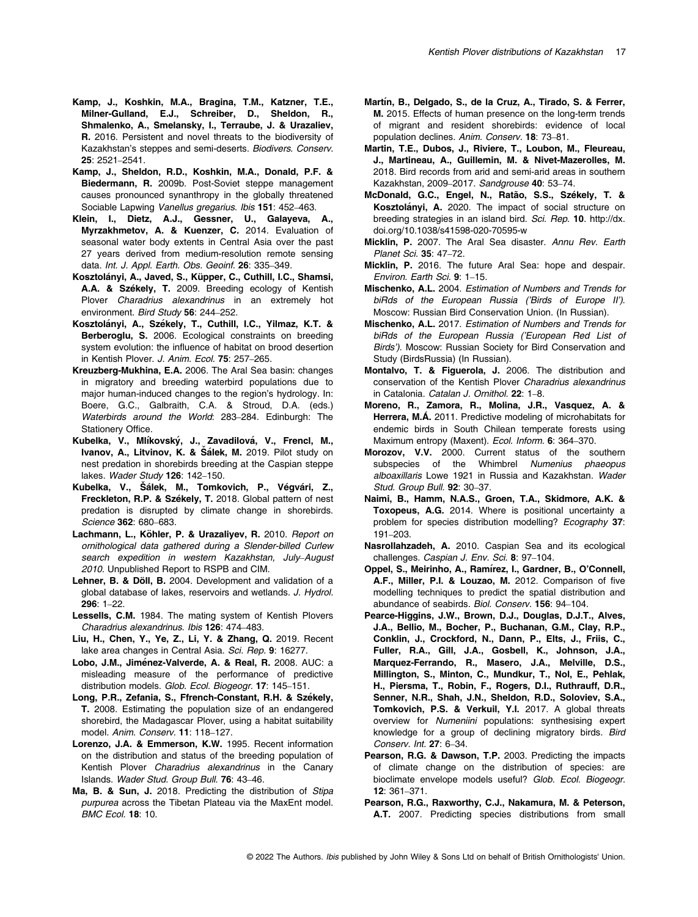- Kamp, J., Sheldon, R.D., Koshkin, M.A., Donald, P.F. & Biedermann, R. 2009b. Post-Soviet steppe management causes pronounced synanthropy in the globally threatened Sociable Lapwing Vanellus gregarius. Ibis 151: 452–463.
- Klein, I., Dietz, A.J., Gessner, U., Galayeva, A., Myrzakhmetov, A. & Kuenzer, C. 2014. Evaluation of seasonal water body extents in Central Asia over the past 27 years derived from medium-resolution remote sensing data. Int. J. Appl. Earth. Obs. Geoinf. 26: 335-349.
- Kosztolányi, A., Javed, S., Küpper, C., Cuthill, I.C., Shamsi, A.A. & Székely, T. 2009. Breeding ecology of Kentish Plover Charadrius alexandrinus in an extremely hot environment. Bird Study 56: 244–252.
- Kosztolányi, A., Székely, T., Cuthill, I.C., Yilmaz, K.T. & Berberoglu, S. 2006. Ecological constraints on breeding system evolution: the influence of habitat on brood desertion in Kentish Plover. J. Anim. Ecol. 75: 257–265.
- Kreuzberg-Mukhina, E.A. 2006. The Aral Sea basin: changes in migratory and breeding waterbird populations due to major human-induced changes to the region's hydrology. In: Boere, G.C., Galbraith, C.A. & Stroud, D.A. (eds.) Waterbirds around the World: 283–284. Edinburgh: The Stationery Office.
- Kubelka, V., Mlíkovský, J., Zavadilová, V., Frencl, M., Ivanov, A., Litvinov, K. & Šálek, M. 2019. Pilot study on nest predation in shorebirds breeding at the Caspian steppe lakes. Wader Study 126: 142–150.
- Kubelka, V., Šálek, M., Tomkovich, P., Végvári, Z., Freckleton, R.P. & Székely, T. 2018. Global pattern of nest predation is disrupted by climate change in shorebirds. Science 362: 680–683.
- Lachmann, L., Köhler, P. & Urazaliyev, R. 2010. Report on ornithological data gathered during a Slender-billed Curlew search expedition in western Kazakhstan, July–August 2010. Unpublished Report to RSPB and CIM.
- Lehner, B. & Döll, B. 2004. Development and validation of a global database of lakes, reservoirs and wetlands. J. Hydrol. 296: 1–22.
- Lessells, C.M. 1984. The mating system of Kentish Plovers Charadrius alexandrinus. Ibis 126: 474–483.
- Liu, H., Chen, Y., Ye, Z., Li, Y. & Zhang, Q. 2019. Recent lake area changes in Central Asia. Sci. Rep. 9: 16277.
- Lobo, J.M., Jiménez-Valverde, A. & Real, R. 2008. AUC: a misleading measure of the performance of predictive distribution models. Glob. Ecol. Biogeogr. 17: 145–151.
- Long, P.R., Zefania, S., Ffrench-Constant, R.H. & Székely, T. 2008. Estimating the population size of an endangered shorebird, the Madagascar Plover, using a habitat suitability model. Anim. Conserv. 11: 118–127.
- Lorenzo, J.A. & Emmerson, K.W. 1995. Recent information on the distribution and status of the breeding population of Kentish Plover Charadrius alexandrinus in the Canary Islands. Wader Stud. Group Bull. 76: 43–46.
- Ma, B. & Sun, J. 2018. Predicting the distribution of Stipa purpurea across the Tibetan Plateau via the MaxEnt model. BMC Ecol. 18: 10.
- Martín, B., Delgado, S., de la Cruz, A., Tirado, S. & Ferrer, M. 2015. Effects of human presence on the long-term trends of migrant and resident shorebirds: evidence of local population declines. Anim. Conserv. 18: 73–81.
- Martin, T.E., Dubos, J., Riviere, T., Loubon, M., Fleureau, J., Martineau, A., Guillemin, M. & Nivet-Mazerolles, M. 2018. Bird records from arid and semi-arid areas in southern Kazakhstan, 2009–2017. Sandgrouse 40: 53–74.
- McDonald, G.C., Engel, N., Ratão, S.S., Székely, T. & Kosztolányi, A. 2020. The impact of social structure on breeding strategies in an island bird. Sci. Rep. 10. [http://dx.](http://dx.doi.org/10.1038/s41598-020-70595-w) [doi.org/10.1038/s41598-020-70595-w](http://dx.doi.org/10.1038/s41598-020-70595-w)
- Micklin, P. 2007. The Aral Sea disaster. Annu Rev. Earth Planet Sci. 35: 47–72.
- Micklin, P. 2016. The future Aral Sea: hope and despair. Environ. Earth Sci. 9: 1–15.
- Mischenko, A.L. 2004. Estimation of Numbers and Trends for biRds of the European Russia ('Birds of Europe II'). Moscow: Russian Bird Conservation Union. (In Russian).
- Mischenko, A.L. 2017. Estimation of Numbers and Trends for biRds of the European Russia ('European Red List of Birds'). Moscow: Russian Society for Bird Conservation and Study (BirdsRussia) (In Russian).
- Montalvo, T. & Figuerola, J. 2006. The distribution and conservation of the Kentish Plover Charadrius alexandrinus in Catalonia. Catalan J. Ornithol. 22: 1–8.
- Moreno, R., Zamora, R., Molina, J.R., Vasquez, A. & Herrera, M.Á. 2011. Predictive modeling of microhabitats for endemic birds in South Chilean temperate forests using Maximum entropy (Maxent). Ecol. Inform. 6: 364–370.
- Morozov, V.V. 2000. Current status of the southern subspecies of the Whimbrel Numenius phaeopus alboaxillaris Lowe 1921 in Russia and Kazakhstan. Wader Stud. Group Bull. 92: 30–37.
- Naimi, B., Hamm, N.A.S., Groen, T.A., Skidmore, A.K. & Toxopeus, A.G. 2014. Where is positional uncertainty a problem for species distribution modelling? Ecography 37: 191–203.
- Nasrollahzadeh, A. 2010. Caspian Sea and its ecological challenges. Caspian J. Env. Sci. 8: 97-104.
- Oppel, S., Meirinho, A., Ramírez, I., Gardner, B., O'Connell, A.F., Miller, P.I. & Louzao, M. 2012. Comparison of five modelling techniques to predict the spatial distribution and abundance of seabirds. Biol. Conserv. 156: 94–104.
- Pearce-Higgins, J.W., Brown, D.J., Douglas, D.J.T., Alves, J.A., Bellio, M., Bocher, P., Buchanan, G.M., Clay, R.P., Conklin, J., Crockford, N., Dann, P., Elts, J., Friis, C., Fuller, R.A., Gill, J.A., Gosbell, K., Johnson, J.A., Marquez-Ferrando, R., Masero, J.A., Melville, D.S., Millington, S., Minton, C., Mundkur, T., Nol, E., Pehlak, H., Piersma, T., Robin, F., Rogers, D.I., Ruthrauff, D.R., Senner, N.R., Shah, J.N., Sheldon, R.D., Soloviev, S.A., Tomkovich, P.S. & Verkuil, Y.I. 2017. A global threats overview for Numeniini populations: synthesising expert knowledge for a group of declining migratory birds. Bird Conserv. Int. 27: 6–34.
- Pearson, R.G. & Dawson, T.P. 2003. Predicting the impacts of climate change on the distribution of species: are bioclimate envelope models useful? Glob. Ecol. Biogeogr. 12: 361–371.
- Pearson, R.G., Raxworthy, C.J., Nakamura, M. & Peterson, A.T. 2007. Predicting species distributions from small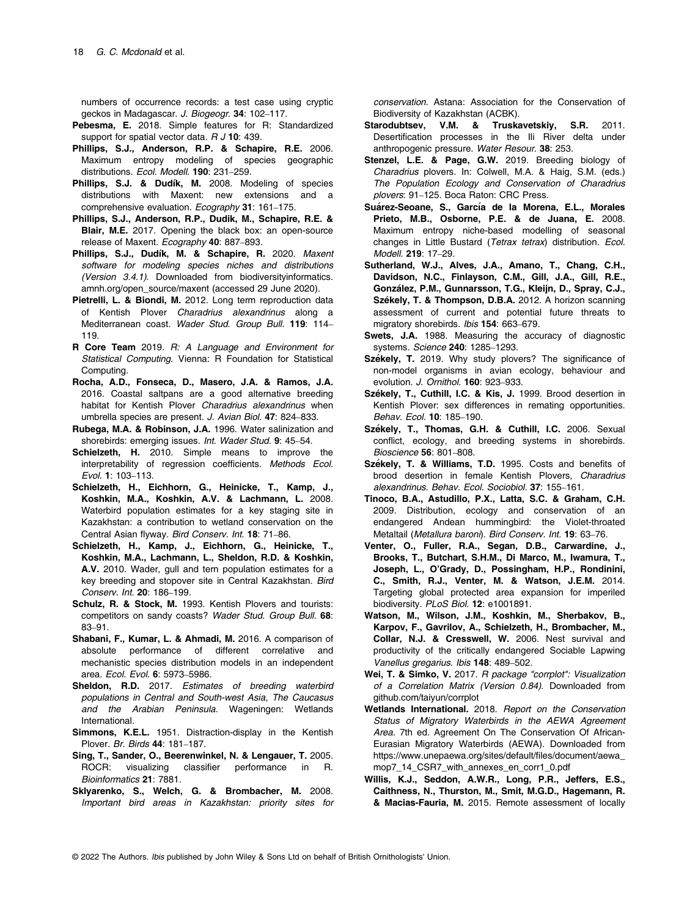numbers of occurrence records: a test case using cryptic geckos in Madagascar. J. Biogeogr. 34: 102–117.

- Pebesma, E. 2018. Simple features for R: Standardized support for spatial vector data.  $R$  J 10: 439.
- Phillips, S.J., Anderson, R.P. & Schapire, R.E. 2006. Maximum entropy modeling of species geographic distributions. Ecol. Modell. 190: 231-259.
- Phillips, S.J. & Dudík, M. 2008. Modeling of species distributions with Maxent: new extensions and a comprehensive evaluation. Ecography 31: 161–175.
- Phillips, S.J., Anderson, R.P., Dudik, M., Schapire, R.E. & Blair, M.E. 2017. Opening the black box: an open-source release of Maxent. Ecography 40: 887-893.
- Phillips, S.J., Dudík, M. & Schapire, R. 2020. Maxent software for modeling species niches and distributions (Version 3.4.1). Downloaded from [biodiversityinformatics.](http://biodiversityinformatics.amnh.org/open_source/maxent) [amnh.org/open\\_source/maxent](http://biodiversityinformatics.amnh.org/open_source/maxent) (accessed 29 June 2020).
- Pietrelli, L. & Biondi, M. 2012. Long term reproduction data of Kentish Plover Charadrius alexandrinus along a Mediterranean coast. Wader Stud. Group Bull. 119: 114– 119.
- R Core Team 2019. R: A Language and Environment for Statistical Computing. Vienna: R Foundation for Statistical Computing.
- Rocha, A.D., Fonseca, D., Masero, J.A. & Ramos, J.A. 2016. Coastal saltpans are a good alternative breeding habitat for Kentish Plover Charadrius alexandrinus when umbrella species are present. J. Avian Biol. 47: 824–833.
- Rubega, M.A. & Robinson, J.A. 1996. Water salinization and shorebirds: emerging issues. Int. Wader Stud. 9: 45-54.
- Schielzeth, H. 2010. Simple means to improve the interpretability of regression coefficients. Methods Ecol. Evol. 1: 103–113.
- Schielzeth, H., Eichhorn, G., Heinicke, T., Kamp, J., Koshkin, M.A., Koshkin, A.V. & Lachmann, L. 2008. Waterbird population estimates for a key staging site in Kazakhstan: a contribution to wetland conservation on the Central Asian flyway. Bird Conserv. Int. 18: 71–86.
- Schielzeth, H., Kamp, J., Eichhorn, G., Heinicke, T., Koshkin, M.A., Lachmann, L., Sheldon, R.D. & Koshkin, A.V. 2010. Wader, gull and tern population estimates for a key breeding and stopover site in Central Kazakhstan. Bird Conserv. Int. 20: 186–199.
- Schulz, R. & Stock, M. 1993. Kentish Plovers and tourists: competitors on sandy coasts? Wader Stud. Group Bull. 68: 83–91.
- Shabani, F., Kumar, L. & Ahmadi, M. 2016. A comparison of absolute performance of different correlative and mechanistic species distribution models in an independent area. Ecol. Evol. 6: 5973–5986.
- Sheldon, R.D. 2017. Estimates of breeding waterbird populations in Central and South-west Asia, The Caucasus and the Arabian Peninsula. Wageningen: Wetlands International.
- Simmons, K.E.L. 1951. Distraction-display in the Kentish Plover. Br. Birds 44: 181–187.
- Sing, T., Sander, O., Beerenwinkel, N. & Lengauer, T. 2005. ROCR: visualizing classifier performance in R. Bioinformatics 21: 7881.
- Sklyarenko, S., Welch, G. & Brombacher, M. 2008. Important bird areas in Kazakhstan: priority sites for

conservation. Astana: Association for the Conservation of Biodiversity of Kazakhstan (ACBK).

- Starodubtsev, V.M. & Truskavetskiy, S.R. 2011. Desertification processes in the Ili River delta under anthropogenic pressure. Water Resour. 38: 253.
- Stenzel, L.E. & Page, G.W. 2019. Breeding biology of Charadrius plovers. In: Colwell, M.A. & Haig, S.M. (eds.) The Population Ecology and Conservation of Charadrius plovers: 91–125. Boca Raton: CRC Press.
- Suárez-Seoane, S., García de la Morena, E.L., Morales Prieto, M.B., Osborne, P.E. & de Juana, E. 2008. Maximum entropy niche-based modelling of seasonal changes in Little Bustard (Tetrax tetrax) distribution. Ecol. Modell. 219: 17–29.
- Sutherland, W.J., Alves, J.A., Amano, T., Chang, C.H., Davidson, N.C., Finlayson, C.M., Gill, J.A., Gill, R.E., González, P.M., Gunnarsson, T.G., Kleijn, D., Spray, C.J., Székely, T. & Thompson, D.B.A. 2012. A horizon scanning assessment of current and potential future threats to migratory shorebirds. Ibis 154: 663–679.
- Swets, J.A. 1988. Measuring the accuracy of diagnostic systems. Science 240: 1285–1293.
- Székely, T. 2019. Why study plovers? The significance of non-model organisms in avian ecology, behaviour and evolution. J. Ornithol. 160: 923–933.
- Székely, T., Cuthill, I.C. & Kis, J. 1999. Brood desertion in Kentish Plover: sex differences in remating opportunities. Behav. Ecol. 10: 185–190.
- Székely, T., Thomas, G.H. & Cuthill, I.C. 2006. Sexual conflict, ecology, and breeding systems in shorebirds. Bioscience 56: 801–808.
- Székely, T. & Williams, T.D. 1995. Costs and benefits of brood desertion in female Kentish Plovers, Charadrius alexandrinus. Behav. Ecol. Sociobiol. 37: 155–161.
- Tinoco, B.A., Astudillo, P.X., Latta, S.C. & Graham, C.H. 2009. Distribution, ecology and conservation of an endangered Andean hummingbird: the Violet-throated Metaltail (Metallura baroni). Bird Conserv. Int. 19: 63–76.
- Venter, O., Fuller, R.A., Segan, D.B., Carwardine, J., Brooks, T., Butchart, S.H.M., Di Marco, M., Iwamura, T., Joseph, L., O'Grady, D., Possingham, H.P., Rondinini, C., Smith, R.J., Venter, M. & Watson, J.E.M. 2014. Targeting global protected area expansion for imperiled biodiversity. PLoS Biol. 12: e1001891.
- Watson, M., Wilson, J.M., Koshkin, M., Sherbakov, B., Karpov, F., Gavrilov, A., Schielzeth, H., Brombacher, M., Collar, N.J. & Cresswell, W. 2006. Nest survival and productivity of the critically endangered Sociable Lapwing Vanellus gregarius. Ibis 148: 489–502.
- Wei, T. & Simko, V. 2017. R package "corrplot": Visualization of a Correlation Matrix (Version 0.84). Downloaded from [github.com/taiyun/corrplot](http://github.com/taiyun/corrplot)
- Wetlands International. 2018. Report on the Conservation Status of Migratory Waterbirds in the AEWA Agreement Area. 7th ed. Agreement On The Conservation Of African-Eurasian Migratory Waterbirds (AEWA). Downloaded from [https://www.unepaewa.org/sites/default/](http://www.unepaewa.org/sites/default/files/document/aewa_mop7_14_CSR7_with_annexes_en_corr1_0.pdf)files/document/aewa\_ [mop7\\_14\\_CSR7\\_with\\_annexes\\_en\\_corr1\\_0.pdf](http://www.unepaewa.org/sites/default/files/document/aewa_mop7_14_CSR7_with_annexes_en_corr1_0.pdf)
- Willis, K.J., Seddon, A.W.R., Long, P.R., Jeffers, E.S., Caithness, N., Thurston, M., Smit, M.G.D., Hagemann, R. & Macias-Fauria, M. 2015. Remote assessment of locally